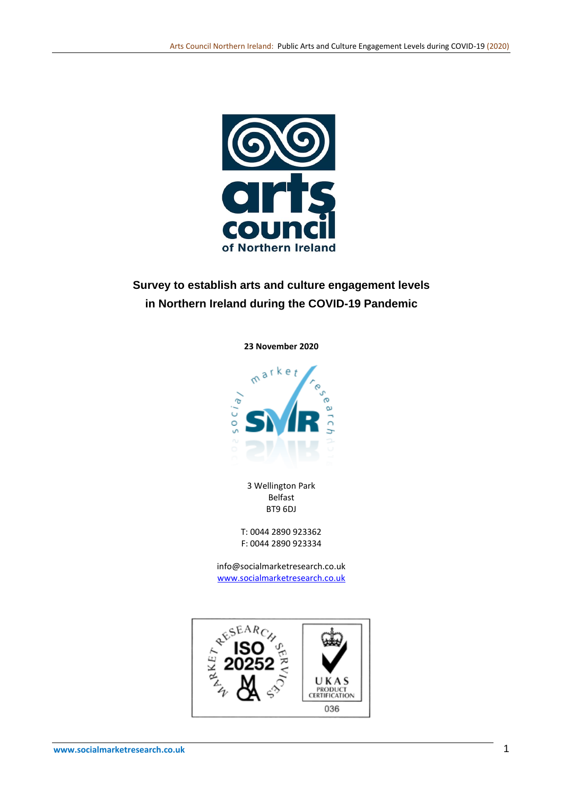

# **Survey to establish arts and culture engagement levels in Northern Ireland during the COVID-19 Pandemic**

**23 November 2020**



3 Wellington Park Belfast BT9 6DJ

T: 0044 2890 923362 F: 0044 2890 923334

info@socialmarketresearch.co.uk [www.socialmarketresearch.co.uk](http://www.socialmarketresearch.co.uk/)

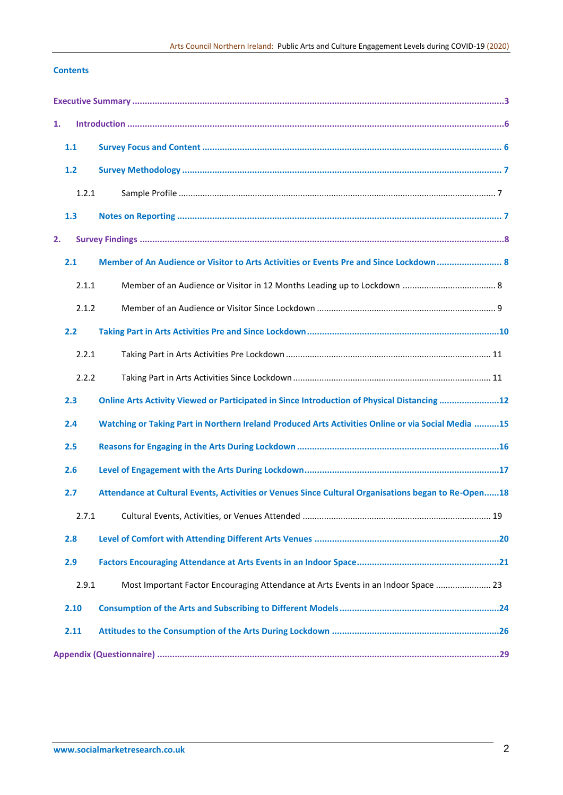# **Contents**

| 1. |       |                                                                                                     |    |
|----|-------|-----------------------------------------------------------------------------------------------------|----|
|    | 1.1   |                                                                                                     |    |
|    | 1.2   |                                                                                                     |    |
|    | 1.2.1 |                                                                                                     |    |
|    | 1.3   |                                                                                                     |    |
| 2. |       |                                                                                                     |    |
|    | 2.1   | Member of An Audience or Visitor to Arts Activities or Events Pre and Since Lockdown  8             |    |
|    | 2.1.1 |                                                                                                     |    |
|    | 2.1.2 |                                                                                                     |    |
|    | 2.2   |                                                                                                     |    |
|    | 2.2.1 |                                                                                                     |    |
|    | 2.2.2 |                                                                                                     |    |
|    | 2.3   | Online Arts Activity Viewed or Participated in Since Introduction of Physical Distancing 12         |    |
|    | 2.4   | Watching or Taking Part in Northern Ireland Produced Arts Activities Online or via Social Media 15  |    |
|    | 2.5   |                                                                                                     |    |
|    | 2.6   |                                                                                                     |    |
|    | 2.7   | Attendance at Cultural Events, Activities or Venues Since Cultural Organisations began to Re-Open18 |    |
|    |       | 2.7.1 Cultural Events, Activities, or Venues Attended                                               | 19 |
|    | 2.8   |                                                                                                     |    |
|    | 2.9   |                                                                                                     |    |
|    | 2.9.1 | Most Important Factor Encouraging Attendance at Arts Events in an Indoor Space  23                  |    |
|    | 2.10  |                                                                                                     |    |
|    | 2.11  |                                                                                                     |    |
|    |       |                                                                                                     |    |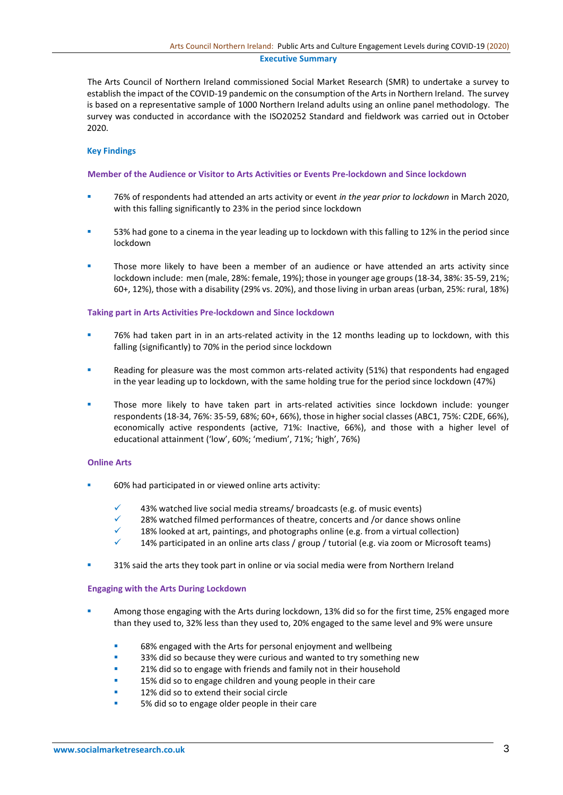## **Executive Summary**

The Arts Council of Northern Ireland commissioned Social Market Research (SMR) to undertake a survey to establish the impact of the COVID-19 pandemic on the consumption of the Arts in Northern Ireland. The survey is based on a representative sample of 1000 Northern Ireland adults using an online panel methodology. The survey was conducted in accordance with the ISO20252 Standard and fieldwork was carried out in October 2020.

## **Key Findings**

## **Member of the Audience or Visitor to Arts Activities or Events Pre-lockdown and Since lockdown**

- 76% of respondents had attended an arts activity or event *in the year prior to lockdown* in March 2020, with this falling significantly to 23% in the period since lockdown
- 53% had gone to a cinema in the year leading up to lockdown with this falling to 12% in the period since lockdown
- Those more likely to have been a member of an audience or have attended an arts activity since lockdown include: men (male, 28%: female, 19%); those in younger age groups (18-34, 38%: 35-59, 21%; 60+, 12%), those with a disability (29% vs. 20%), and those living in urban areas (urban, 25%: rural, 18%)

### **Taking part in Arts Activities Pre-lockdown and Since lockdown**

- 76% had taken part in in an arts-related activity in the 12 months leading up to lockdown, with this falling (significantly) to 70% in the period since lockdown
- Reading for pleasure was the most common arts-related activity (51%) that respondents had engaged in the year leading up to lockdown, with the same holding true for the period since lockdown (47%)
- Those more likely to have taken part in arts-related activities since lockdown include: younger respondents (18-34, 76%: 35-59, 68%; 60+, 66%), those in higher social classes (ABC1, 75%: C2DE, 66%), economically active respondents (active, 71%: Inactive, 66%), and those with a higher level of educational attainment ('low', 60%; 'medium', 71%; 'high', 76%)

### **Online Arts**

- 60% had participated in or viewed online arts activity:
	- 43% watched live social media streams/ broadcasts (e.g. of music events)
	- 28% watched filmed performances of theatre, concerts and /or dance shows online
	- 18% looked at art, paintings, and photographs online (e.g. from a virtual collection)
	- 14% participated in an online arts class / group / tutorial (e.g. via zoom or Microsoft teams)
- 31% said the arts they took part in online or via social media were from Northern Ireland

### **Engaging with the Arts During Lockdown**

- Among those engaging with the Arts during lockdown, 13% did so for the first time, 25% engaged more than they used to, 32% less than they used to, 20% engaged to the same level and 9% were unsure
	- 68% engaged with the Arts for personal enjoyment and wellbeing
	- 33% did so because they were curious and wanted to try something new
	- 21% did so to engage with friends and family not in their household
	- 15% did so to engage children and young people in their care
	- 12% did so to extend their social circle
	- 5% did so to engage older people in their care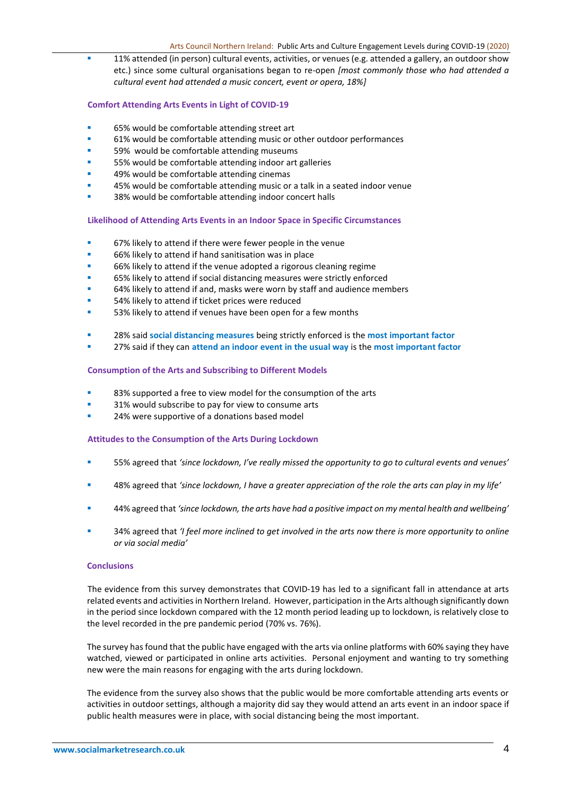11% attended (in person) cultural events, activities, or venues (e.g. attended a gallery, an outdoor show etc.) since some cultural organisations began to re-open *[most commonly those who had attended a cultural event had attended a music concert, event or opera, 18%]*

# **Comfort Attending Arts Events in Light of COVID-19**

- 65% would be comfortable attending street art
- 61% would be comfortable attending music or other outdoor performances
- 59% would be comfortable attending museums
- 55% would be comfortable attending indoor art galleries
- 49% would be comfortable attending cinemas
- 45% would be comfortable attending music or a talk in a seated indoor venue
- 38% would be comfortable attending indoor concert halls

**Likelihood of Attending Arts Events in an Indoor Space in Specific Circumstances**

- 67% likely to attend if there were fewer people in the venue
- 66% likely to attend if hand sanitisation was in place
- 66% likely to attend if the venue adopted a rigorous cleaning regime
- 65% likely to attend if social distancing measures were strictly enforced
- 64% likely to attend if and, masks were worn by staff and audience members
- 54% likely to attend if ticket prices were reduced
- 53% likely to attend if venues have been open for a few months
- 28% said **social distancing measures** being strictly enforced is the **most important factor**
- 27% said if they can **attend an indoor event in the usual way** is the **most important factor**

## **Consumption of the Arts and Subscribing to Different Models**

- 83% supported a free to view model for the consumption of the arts
- 31% would subscribe to pay for view to consume arts
- 24% were supportive of a donations based model

### **Attitudes to the Consumption of the Arts During Lockdown**

- 55% agreed that *'since lockdown, I've really missed the opportunity to go to cultural events and venues'*
- 48% agreed that *'since lockdown, I have a greater appreciation of the role the arts can play in my life'*
- 44% agreed that *'since lockdown, the arts have had a positive impact on my mental health and wellbeing'*
- 34% agreed that *'I feel more inclined to get involved in the arts now there is more opportunity to online or via social media'*

## **Conclusions**

The evidence from this survey demonstrates that COVID-19 has led to a significant fall in attendance at arts related events and activities in Northern Ireland. However, participation in the Arts although significantly down in the period since lockdown compared with the 12 month period leading up to lockdown, is relatively close to the level recorded in the pre pandemic period (70% vs. 76%).

The survey has found that the public have engaged with the arts via online platforms with 60% saying they have watched, viewed or participated in online arts activities. Personal enjoyment and wanting to try something new were the main reasons for engaging with the arts during lockdown.

The evidence from the survey also shows that the public would be more comfortable attending arts events or activities in outdoor settings, although a majority did say they would attend an arts event in an indoor space if public health measures were in place, with social distancing being the most important.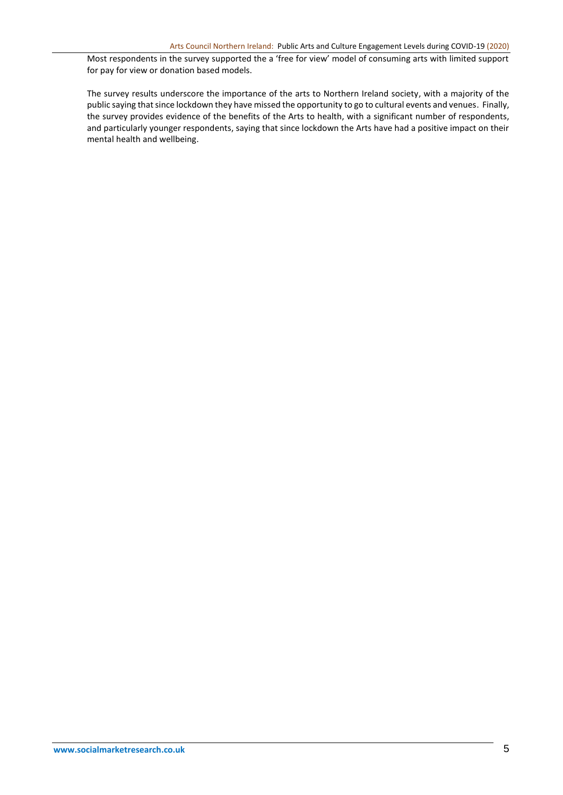Most respondents in the survey supported the a 'free for view' model of consuming arts with limited support for pay for view or donation based models.

The survey results underscore the importance of the arts to Northern Ireland society, with a majority of the public saying that since lockdown they have missed the opportunity to go to cultural events and venues. Finally, the survey provides evidence of the benefits of the Arts to health, with a significant number of respondents, and particularly younger respondents, saying that since lockdown the Arts have had a positive impact on their mental health and wellbeing.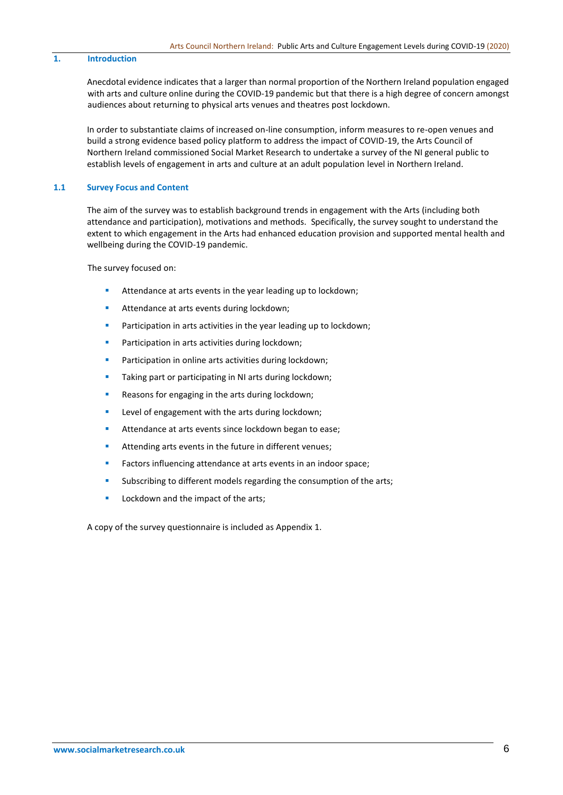## **1. Introduction**

Anecdotal evidence indicates that a larger than normal proportion of the Northern Ireland population engaged with arts and culture online during the COVID-19 pandemic but that there is a high degree of concern amongst audiences about returning to physical arts venues and theatres post lockdown.

In order to substantiate claims of increased on-line consumption, inform measures to re-open venues and build a strong evidence based policy platform to address the impact of COVID-19, the Arts Council of Northern Ireland commissioned Social Market Research to undertake a survey of the NI general public to establish levels of engagement in arts and culture at an adult population level in Northern Ireland.

#### **1.1 Survey Focus and Content**

The aim of the survey was to establish background trends in engagement with the Arts (including both attendance and participation), motivations and methods. Specifically, the survey sought to understand the extent to which engagement in the Arts had enhanced education provision and supported mental health and wellbeing during the COVID-19 pandemic.

The survey focused on:

- Attendance at arts events in the year leading up to lockdown;
- **EXECUTE:** Attendance at arts events during lockdown;
- **•** Participation in arts activities in the year leading up to lockdown;
- **•** Participation in arts activities during lockdown;
- Participation in online arts activities during lockdown;
- Taking part or participating in NI arts during lockdown;
- Reasons for engaging in the arts during lockdown;
- Level of engagement with the arts during lockdown;
- Attendance at arts events since lockdown began to ease;
- **EXECUTE:** Attending arts events in the future in different venues;
- Factors influencing attendance at arts events in an indoor space;
- Subscribing to different models regarding the consumption of the arts;
- Lockdown and the impact of the arts;

A copy of the survey questionnaire is included as Appendix 1.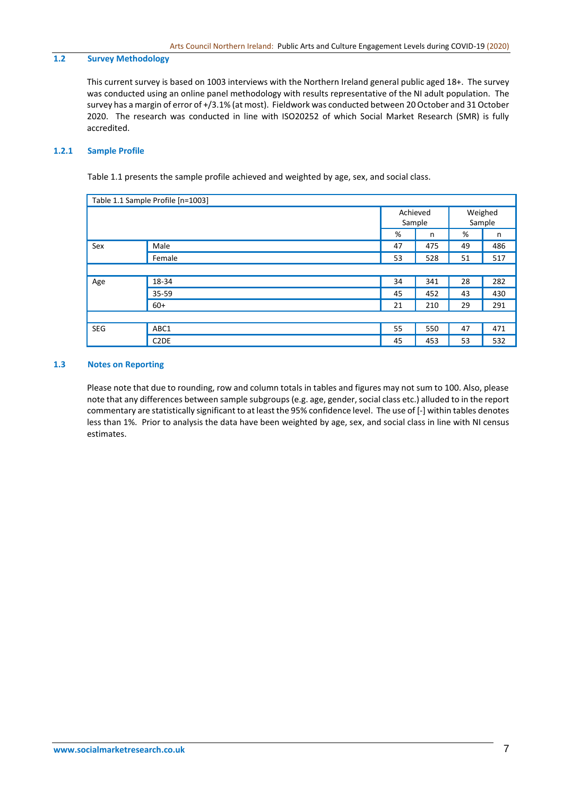# **1.2 Survey Methodology**

This current survey is based on 1003 interviews with the Northern Ireland general public aged 18+. The survey was conducted using an online panel methodology with results representative of the NI adult population. The survey has a margin of error of +/3.1% (at most). Fieldwork was conducted between 20 October and 31 October 2020. The research was conducted in line with ISO20252 of which Social Market Research (SMR) is fully accredited.

# **1.2.1 Sample Profile**

Table 1.1 presents the sample profile achieved and weighted by age, sex, and social class.

| Table 1.1 Sample Profile [n=1003] |                   |        |          |        |         |  |
|-----------------------------------|-------------------|--------|----------|--------|---------|--|
|                                   |                   |        | Achieved |        | Weighed |  |
|                                   |                   | Sample |          | Sample |         |  |
|                                   |                   | %      | n        | %      | n       |  |
| Sex                               | Male              | 47     | 475      | 49     | 486     |  |
|                                   | Female            | 53     | 528      | 51     | 517     |  |
|                                   |                   |        |          |        |         |  |
| Age                               | 18-34             | 34     | 341      | 28     | 282     |  |
|                                   | 35-59             | 45     | 452      | 43     | 430     |  |
|                                   | $60+$             | 21     | 210      | 29     | 291     |  |
|                                   |                   |        |          |        |         |  |
| <b>SEG</b>                        | ABC1              | 55     | 550      | 47     | 471     |  |
|                                   | C <sub>2</sub> DE | 45     | 453      | 53     | 532     |  |

# **1.3 Notes on Reporting**

Please note that due to rounding, row and column totals in tables and figures may not sum to 100. Also, please note that any differences between sample subgroups (e.g. age, gender, social class etc.) alluded to in the report commentary are statistically significant to at least the 95% confidence level. The use of [-] within tables denotes less than 1%. Prior to analysis the data have been weighted by age, sex, and social class in line with NI census estimates.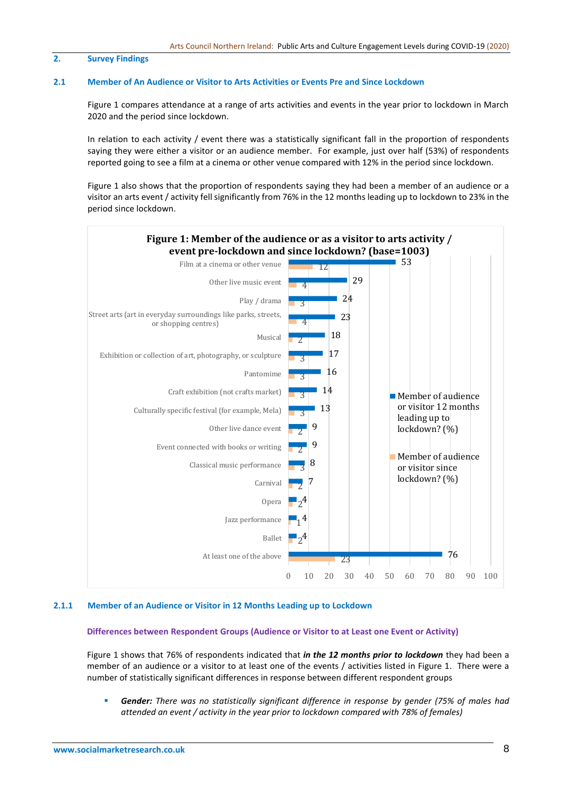## **2. Survey Findings**

#### **2.1 Member of An Audience or Visitor to Arts Activities or Events Pre and Since Lockdown**

Figure 1 compares attendance at a range of arts activities and events in the year prior to lockdown in March 2020 and the period since lockdown.

In relation to each activity / event there was a statistically significant fall in the proportion of respondents saying they were either a visitor or an audience member. For example, just over half (53%) of respondents reported going to see a film at a cinema or other venue compared with 12% in the period since lockdown.

Figure 1 also shows that the proportion of respondents saying they had been a member of an audience or a visitor an arts event / activity fell significantly from 76% in the 12 months leading up to lockdown to 23% in the period since lockdown.



# **2.1.1 Member of an Audience or Visitor in 12 Months Leading up to Lockdown**

## **Differences between Respondent Groups (Audience or Visitor to at Least one Event or Activity)**

Figure 1 shows that 76% of respondents indicated that *in the 12 months prior to lockdown* they had been a member of an audience or a visitor to at least one of the events / activities listed in Figure 1. There were a number of statistically significant differences in response between different respondent groups

▪ *Gender: There was no statistically significant difference in response by gender (75% of males had attended an event / activity in the year prior to lockdown compared with 78% of females)*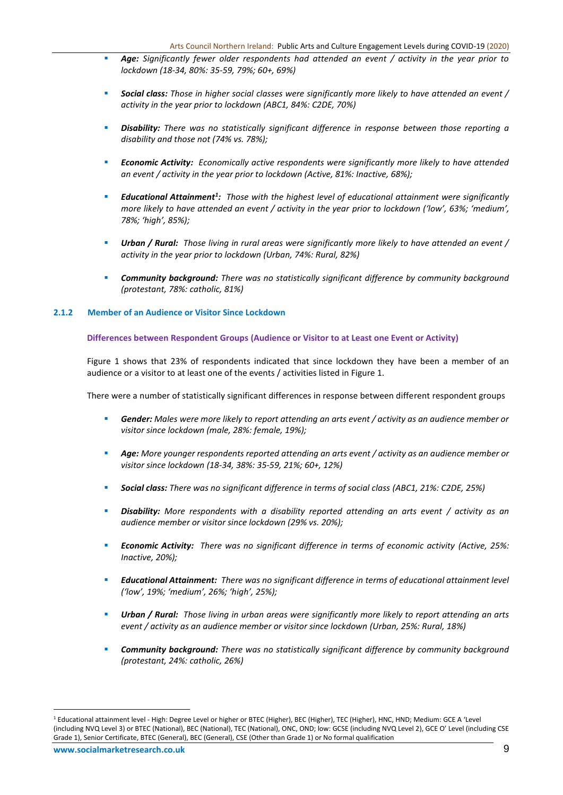- *Age: Significantly fewer older respondents had attended an event / activity in the year prior to lockdown (18-34, 80%: 35-59, 79%; 60+, 69%)*
- *Social class: Those in higher social classes were significantly more likely to have attended an event / activity in the year prior to lockdown (ABC1, 84%: C2DE, 70%)*
- *Disability: There was no statistically significant difference in response between those reporting a disability and those not (74% vs. 78%);*
- *Economic Activity: Economically active respondents were significantly more likely to have attended an event / activity in the year prior to lockdown (Active, 81%: Inactive, 68%);*
- *Educational Attainment<sup>1</sup> : Those with the highest level of educational attainment were significantly more likely to have attended an event / activity in the year prior to lockdown ('low', 63%; 'medium', 78%; 'high', 85%);*
- Urban / Rural: Those living in rural areas were significantly more likely to have attended an event / *activity in the year prior to lockdown (Urban, 74%: Rural, 82%)*
- *Community background: There was no statistically significant difference by community background (protestant, 78%: catholic, 81%)*

# **2.1.2 Member of an Audience or Visitor Since Lockdown**

# **Differences between Respondent Groups (Audience or Visitor to at Least one Event or Activity)**

Figure 1 shows that 23% of respondents indicated that since lockdown they have been a member of an audience or a visitor to at least one of the events / activities listed in Figure 1.

There were a number of statistically significant differences in response between different respondent groups

- Gender: Males were more likely to report attending an arts event / activity as an audience member or *visitor since lockdown (male, 28%: female, 19%);*
- Age: More younger respondents reported attending an arts event / activity as an audience member or *visitor since lockdown (18-34, 38%: 35-59, 21%; 60+, 12%)*
- *Social class: There was no significant difference in terms of social class (ABC1, 21%: C2DE, 25%)*
- *Disability: More respondents with a disability reported attending an arts event / activity as an audience member or visitor since lockdown (29% vs. 20%);*
- *Economic Activity: There was no significant difference in terms of economic activity (Active, 25%: Inactive, 20%);*
- *Educational Attainment: There was no significant difference in terms of educational attainment level ('low', 19%; 'medium', 26%; 'high', 25%);*
- *Urban / Rural: Those living in urban areas were significantly more likely to report attending an arts event / activity as an audience member or visitor since lockdown (Urban, 25%: Rural, 18%)*
- *Community background: There was no statistically significant difference by community background (protestant, 24%: catholic, 26%)*

<sup>1</sup> Educational attainment level - High: Degree Level or higher or BTEC (Higher), BEC (Higher), TEC (Higher), HNC, HND; Medium: GCE A 'Level (including NVQ Level 3) or BTEC (National), BEC (National), TEC (National), ONC, OND; low: GCSE (including NVQ Level 2), GCE O' Level (including CSE Grade 1), Senior Certificate, BTEC (General), BEC (General), CSE (Other than Grade 1) or No formal qualification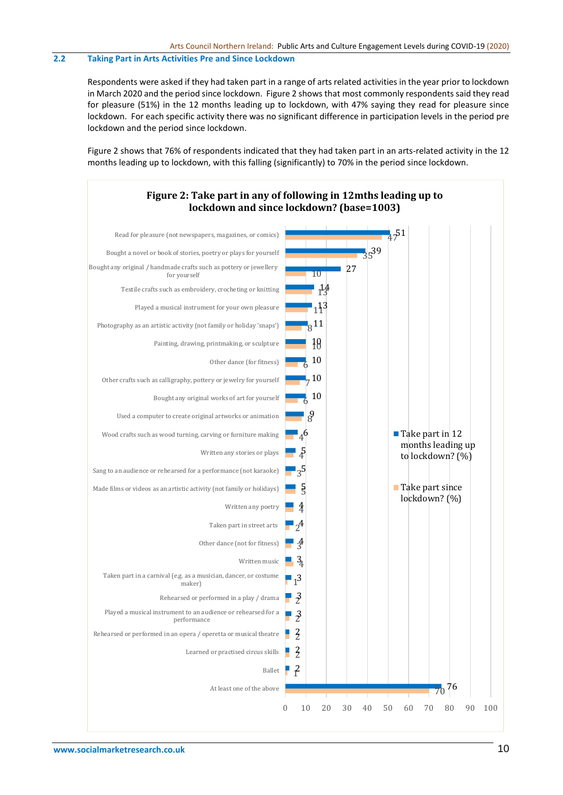## **2.2 Taking Part in Arts Activities Pre and Since Lockdown**

Respondents were asked if they had taken part in a range of arts related activities in the year prior to lockdown in March 2020 and the period since lockdown. Figure 2 shows that most commonly respondents said they read for pleasure (51%) in the 12 months leading up to lockdown, with 47% saying they read for pleasure since lockdown. For each specific activity there was no significant difference in participation levels in the period pre lockdown and the period since lockdown.

Figure 2 shows that 76% of respondents indicated that they had taken part in an arts-related activity in the 12 months leading up to lockdown, with this falling (significantly) to 70% in the period since lockdown.

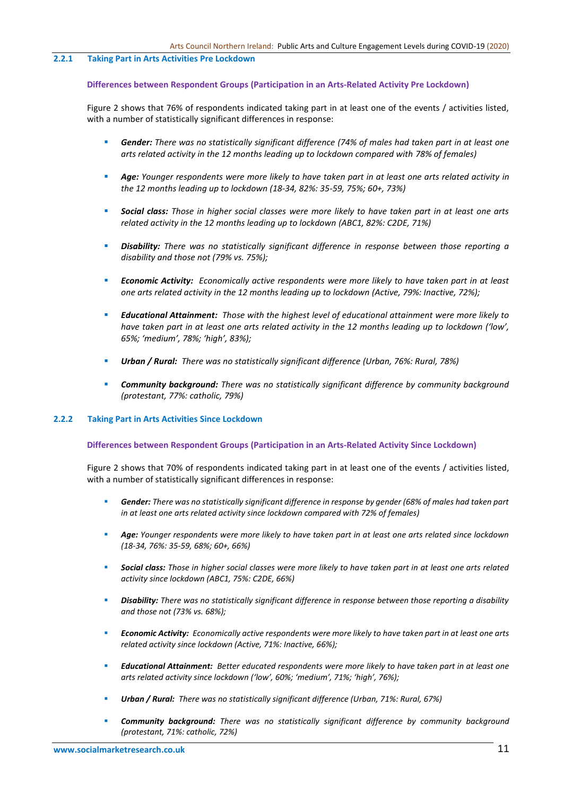#### **2.2.1 Taking Part in Arts Activities Pre Lockdown**

#### **Differences between Respondent Groups (Participation in an Arts-Related Activity Pre Lockdown)**

Figure 2 shows that 76% of respondents indicated taking part in at least one of the events / activities listed, with a number of statistically significant differences in response:

- *Gender: There was no statistically significant difference (74% of males had taken part in at least one arts related activity in the 12 months leading up to lockdown compared with 78% of females)*
- *Age: Younger respondents were more likely to have taken part in at least one arts related activity in the 12 months leading up to lockdown (18-34, 82%: 35-59, 75%; 60+, 73%)*
- *Social class: Those in higher social classes were more likely to have taken part in at least one arts related activity in the 12 months leading up to lockdown (ABC1, 82%: C2DE, 71%)*
- *Disability: There was no statistically significant difference in response between those reporting a disability and those not (79% vs. 75%);*
- *Economic Activity: Economically active respondents were more likely to have taken part in at least one arts related activity in the 12 months leading up to lockdown (Active, 79%: Inactive, 72%);*
- *Educational Attainment: Those with the highest level of educational attainment were more likely to have taken part in at least one arts related activity in the 12 months leading up to lockdown ('low', 65%; 'medium', 78%; 'high', 83%);*
- *Urban / Rural: There was no statistically significant difference (Urban, 76%: Rural, 78%)*
- *Community background: There was no statistically significant difference by community background (protestant, 77%: catholic, 79%)*

# **2.2.2 Taking Part in Arts Activities Since Lockdown**

#### **Differences between Respondent Groups (Participation in an Arts-Related Activity Since Lockdown)**

Figure 2 shows that 70% of respondents indicated taking part in at least one of the events / activities listed, with a number of statistically significant differences in response:

- Gender: There was no statistically significant difference in response by gender (68% of males had taken part *in at least one arts related activity since lockdown compared with 72% of females)*
- Age: Younger respondents were more likely to have taken part in at least one arts related since lockdown *(18-34, 76%: 35-59, 68%; 60+, 66%)*
- *Social class: Those in higher social classes were more likely to have taken part in at least one arts related activity since lockdown (ABC1, 75%: C2DE, 66%)*
- *Disability: There was no statistically significant difference in response between those reporting a disability and those not (73% vs. 68%);*
- *Economic Activity: Economically active respondents were more likely to have taken part in at least one arts related activity since lockdown (Active, 71%: Inactive, 66%);*
- *Educational Attainment: Better educated respondents were more likely to have taken part in at least one arts related activity since lockdown ('low', 60%; 'medium', 71%; 'high', 76%);*
- *Urban / Rural: There was no statistically significant difference (Urban, 71%: Rural, 67%)*
- *Community background: There was no statistically significant difference by community background (protestant, 71%: catholic, 72%)*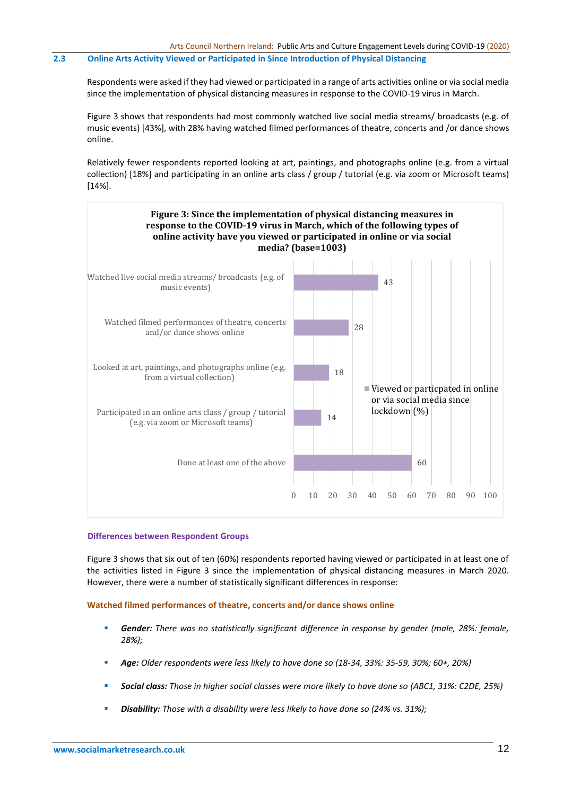## **2.3 Online Arts Activity Viewed or Participated in Since Introduction of Physical Distancing**

Respondents were asked if they had viewed or participated in a range of arts activities online or via social media since the implementation of physical distancing measures in response to the COVID-19 virus in March.

Figure 3 shows that respondents had most commonly watched live social media streams/ broadcasts (e.g. of music events) [43%], with 28% having watched filmed performances of theatre, concerts and /or dance shows online.

Relatively fewer respondents reported looking at art, paintings, and photographs online (e.g. from a virtual collection) [18%] and participating in an online arts class / group / tutorial (e.g. via zoom or Microsoft teams) [14%].



#### **Differences between Respondent Groups**

Figure 3 shows that six out of ten (60%) respondents reported having viewed or participated in at least one of the activities listed in Figure 3 since the implementation of physical distancing measures in March 2020. However, there were a number of statistically significant differences in response:

# **Watched filmed performances of theatre, concerts and/or dance shows online**

- *Gender: There was no statistically significant difference in response by gender (male, 28%: female, 28%);*
- *Age: Older respondents were less likely to have done so (18-34, 33%: 35-59, 30%; 60+, 20%)*
- *Social class: Those in higher social classes were more likely to have done so (ABC1, 31%: C2DE, 25%)*
- *Disability: Those with a disability were less likely to have done so (24% vs. 31%);*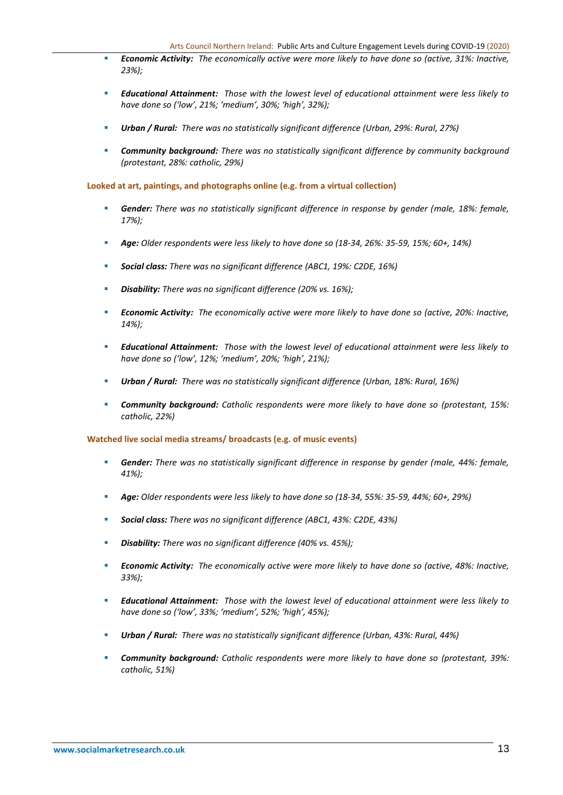- *Economic Activity: The economically active were more likely to have done so (active, 31%: Inactive, 23%);*
- *Educational Attainment: Those with the lowest level of educational attainment were less likely to have done so ('low', 21%; 'medium', 30%; 'high', 32%);*
- *Urban / Rural: There was no statistically significant difference (Urban, 29%: Rural, 27%)*
- *Community background: There was no statistically significant difference by community background (protestant, 28%: catholic, 29%)*

**Looked at art, paintings, and photographs online (e.g. from a virtual collection)**

- **Gender:** There was no statistically significant difference in response by gender (male, 18%: female, *17%);*
- *Age: Older respondents were less likely to have done so (18-34, 26%: 35-59, 15%; 60+, 14%)*
- *Social class: There was no significant difference (ABC1, 19%: C2DE, 16%)*
- *Disability: There was no significant difference (20% vs. 16%);*
- *Economic Activity: The economically active were more likely to have done so (active, 20%: Inactive, 14%);*
- *Educational Attainment: Those with the lowest level of educational attainment were less likely to have done so ('low', 12%; 'medium', 20%; 'high', 21%);*
- *Urban / Rural: There was no statistically significant difference (Urban, 18%: Rural, 16%)*
- *Community background: Catholic respondents were more likely to have done so (protestant, 15%: catholic, 22%)*

**Watched live social media streams/ broadcasts (e.g. of music events)**

- Gender: There was no statistically significant difference in response by gender (male, 44%: female, *41%);*
- *Age: Older respondents were less likely to have done so (18-34, 55%: 35-59, 44%; 60+, 29%)*
- *Social class: There was no significant difference (ABC1, 43%: C2DE, 43%)*
- **Disability:** *There was no significant difference (40% vs. 45%);*
- *Economic Activity: The economically active were more likely to have done so (active, 48%: Inactive, 33%);*
- *Educational Attainment: Those with the lowest level of educational attainment were less likely to have done so ('low', 33%; 'medium', 52%; 'high', 45%);*
- *Urban / Rural: There was no statistically significant difference (Urban, 43%: Rural, 44%)*
- *Community background: Catholic respondents were more likely to have done so (protestant, 39%: catholic, 51%)*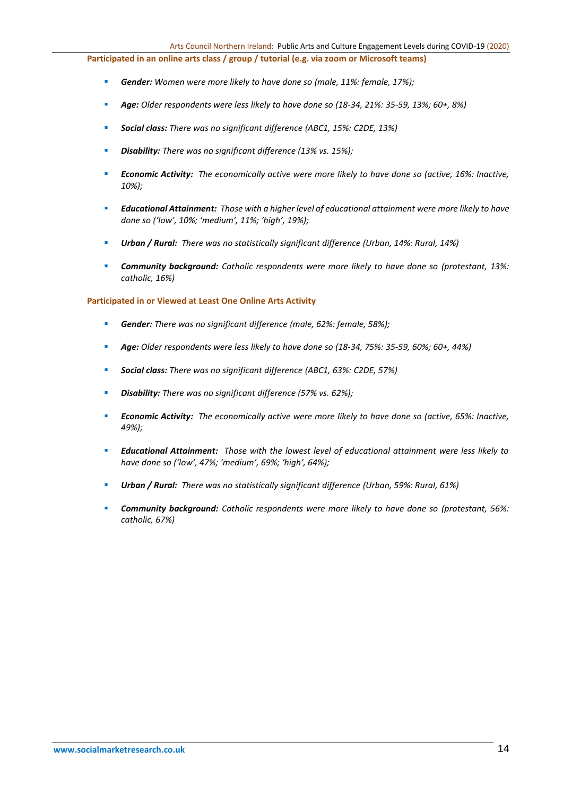**Participated in an online arts class / group / tutorial (e.g. via zoom or Microsoft teams)**

- *Gender: Women were more likely to have done so (male, 11%: female, 17%);*
- *Age: Older respondents were less likely to have done so (18-34, 21%: 35-59, 13%; 60+, 8%)*
- *Social class: There was no significant difference (ABC1, 15%: C2DE, 13%)*
- *Disability: There was no significant difference (13% vs. 15%);*
- *Economic Activity: The economically active were more likely to have done so (active, 16%: Inactive, 10%);*
- *Educational Attainment: Those with a higher level of educational attainment were more likely to have done so ('low', 10%; 'medium', 11%; 'high', 19%);*
- *Urban / Rural: There was no statistically significant difference (Urban, 14%: Rural, 14%)*
- *Community background: Catholic respondents were more likely to have done so (protestant, 13%: catholic, 16%)*

### **Participated in or Viewed at Least One Online Arts Activity**

- *Gender: There was no significant difference (male, 62%: female, 58%);*
- *Age: Older respondents were less likely to have done so (18-34, 75%: 35-59, 60%; 60+, 44%)*
- *Social class: There was no significant difference (ABC1, 63%: C2DE, 57%)*
- *Disability: There was no significant difference (57% vs. 62%);*
- *Economic Activity: The economically active were more likely to have done so (active, 65%: Inactive, 49%);*
- *Educational Attainment: Those with the lowest level of educational attainment were less likely to have done so ('low', 47%; 'medium', 69%; 'high', 64%);*
- *Urban / Rural: There was no statistically significant difference (Urban, 59%: Rural, 61%)*
- *Community background: Catholic respondents were more likely to have done so (protestant, 56%: catholic, 67%)*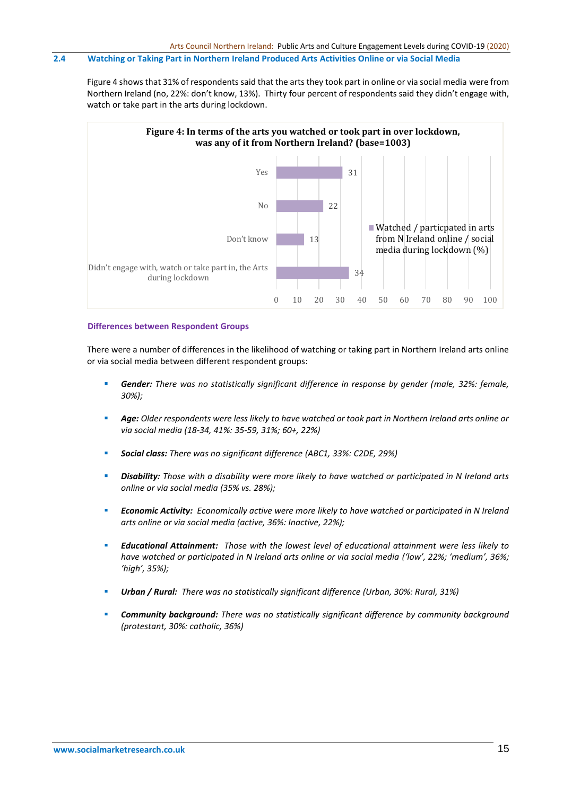## **2.4 Watching or Taking Part in Northern Ireland Produced Arts Activities Online or via Social Media**

Figure 4 shows that 31% of respondents said that the arts they took part in online or via social media were from Northern Ireland (no, 22%: don't know, 13%). Thirty four percent of respondents said they didn't engage with, watch or take part in the arts during lockdown.



### **Differences between Respondent Groups**

There were a number of differences in the likelihood of watching or taking part in Northern Ireland arts online or via social media between different respondent groups:

- Gender: There was no statistically significant difference in response by gender (male, 32%: female, *30%);*
- *Age: Older respondents were less likely to have watched or took part in Northern Ireland arts online or via social media (18-34, 41%: 35-59, 31%; 60+, 22%)*
- *Social class: There was no significant difference (ABC1, 33%: C2DE, 29%)*
- *Disability: Those with a disability were more likely to have watched or participated in N Ireland arts online or via social media (35% vs. 28%);*
- *Economic Activity: Economically active were more likely to have watched or participated in N Ireland arts online or via social media (active, 36%: Inactive, 22%);*
- *Educational Attainment: Those with the lowest level of educational attainment were less likely to have watched or participated in N Ireland arts online or via social media ('low', 22%; 'medium', 36%; 'high', 35%);*
- *Urban / Rural: There was no statistically significant difference (Urban, 30%: Rural, 31%)*
- *Community background: There was no statistically significant difference by community background (protestant, 30%: catholic, 36%)*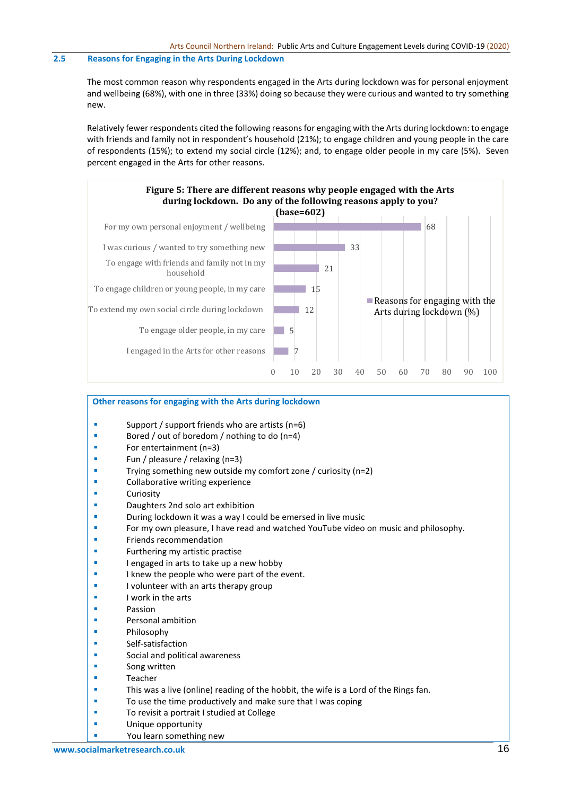## **2.5 Reasons for Engaging in the Arts During Lockdown**

The most common reason why respondents engaged in the Arts during lockdown was for personal enjoyment and wellbeing (68%), with one in three (33%) doing so because they were curious and wanted to try something new.

Relatively fewer respondents cited the following reasons for engaging with the Arts during lockdown: to engage with friends and family not in respondent's household (21%); to engage children and young people in the care of respondents (15%); to extend my social circle (12%); and, to engage older people in my care (5%). Seven percent engaged in the Arts for other reasons.



# **Other reasons for engaging with the Arts during lockdown**

- Support / support friends who are artists ( $n=6$ )
- Bored / out of boredom / nothing to do (n=4)
- For entertainment (n=3)
- Fun / pleasure / relaxing (n=3)
- Trying something new outside my comfort zone / curiosity (n=2)
- Collaborative writing experience
- Curiosity
- Daughters 2nd solo art exhibition
- During lockdown it was a way I could be emersed in live music
- For my own pleasure, I have read and watched YouTube video on music and philosophy.
- **Friends recommendation**
- Furthering my artistic practise
- I engaged in arts to take up a new hobby
- I knew the people who were part of the event.
- I volunteer with an arts therapy group
- I work in the arts
- Passion
- Personal ambition
- **Philosophy**
- Self-satisfaction
- Social and political awareness
- Song written
- **Teacher**
- **This was a live (online) reading of the hobbit, the wife is a Lord of the Rings fan.**
- To use the time productively and make sure that I was coping
- To revisit a portrait I studied at College
- **■** Unique opportunity
	- You learn something new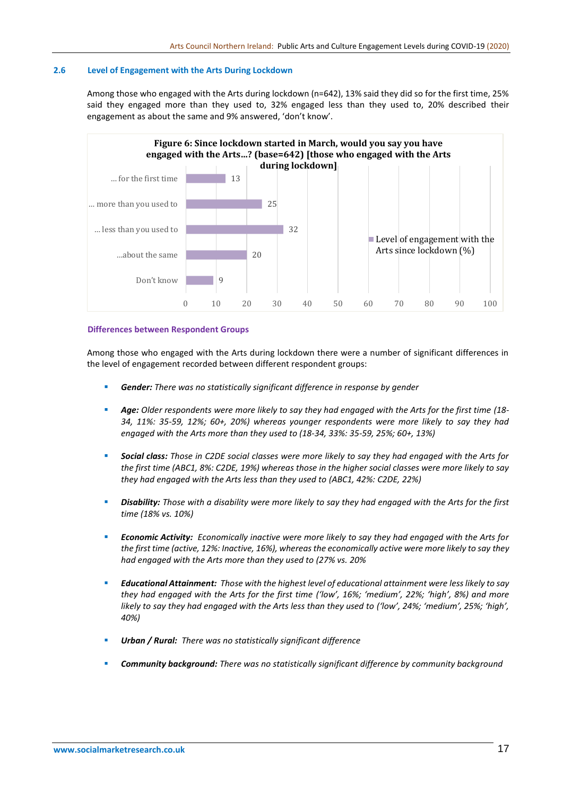## **2.6 Level of Engagement with the Arts During Lockdown**

Among those who engaged with the Arts during lockdown (n=642), 13% said they did so for the first time, 25% said they engaged more than they used to, 32% engaged less than they used to, 20% described their engagement as about the same and 9% answered, 'don't know'.



## **Differences between Respondent Groups**

Among those who engaged with the Arts during lockdown there were a number of significant differences in the level of engagement recorded between different respondent groups:

- **Gender:** There was no statistically significant difference in response by gender
- *Age: Older respondents were more likely to say they had engaged with the Arts for the first time (18- 34, 11%: 35-59, 12%; 60+, 20%) whereas younger respondents were more likely to say they had engaged with the Arts more than they used to (18-34, 33%: 35-59, 25%; 60+, 13%)*
- *Social class: Those in C2DE social classes were more likely to say they had engaged with the Arts for the first time (ABC1, 8%: C2DE, 19%) whereas those in the higher social classes were more likely to say they had engaged with the Arts less than they used to (ABC1, 42%: C2DE, 22%)*
- **Disability:** Those with a disability were more likely to say they had engaged with the Arts for the first *time (18% vs. 10%)*
- *Economic Activity: Economically inactive were more likely to say they had engaged with the Arts for the first time (active, 12%: Inactive, 16%), whereas the economically active were more likely to say they had engaged with the Arts more than they used to (27% vs. 20%*
- *Educational Attainment: Those with the highest level of educational attainment were less likely to say they had engaged with the Arts for the first time ('low', 16%; 'medium', 22%; 'high', 8%) and more likely to say they had engaged with the Arts less than they used to ('low', 24%; 'medium', 25%; 'high', 40%)*
- *Urban / Rural: There was no statistically significant difference*
- *Community background: There was no statistically significant difference by community background*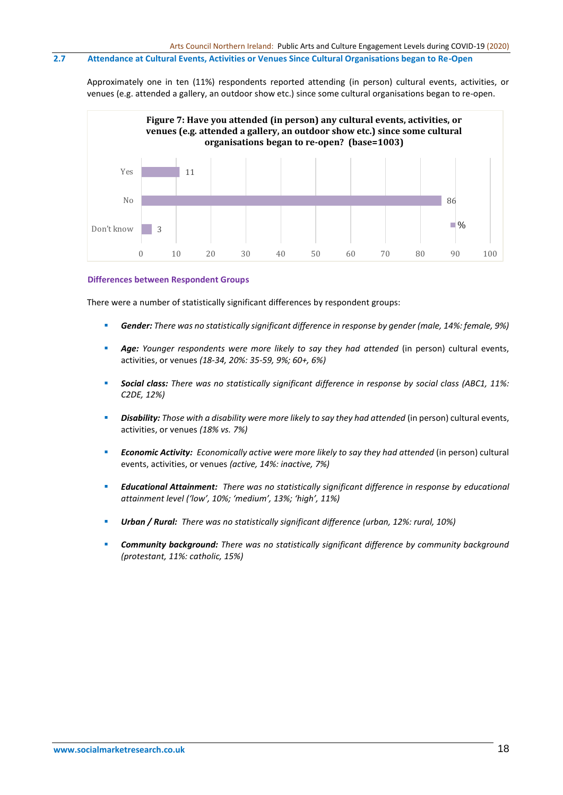# **2.7 Attendance at Cultural Events, Activities or Venues Since Cultural Organisations began to Re-Open**

Approximately one in ten (11%) respondents reported attending (in person) cultural events, activities, or venues (e.g. attended a gallery, an outdoor show etc.) since some cultural organisations began to re-open.



#### **Differences between Respondent Groups**

There were a number of statistically significant differences by respondent groups:

- *Gender: There was no statistically significant difference in response by gender (male, 14%: female, 9%)*
- Age: Younger respondents were more likely to say they had attended (in person) cultural events, activities, or venues *(18-34, 20%: 35-59, 9%; 60+, 6%)*
- *Social class: There was no statistically significant difference in response by social class (ABC1, 11%: C2DE, 12%)*
- **Disability:** Those with a disability were more likely to say they had attended (in person) cultural events, activities, or venues *(18% vs. 7%)*
- **Economic Activity:** *Economically active were more likely to say they had attended (in person) cultural* events, activities, or venues *(active, 14%: inactive, 7%)*
- *Educational Attainment: There was no statistically significant difference in response by educational attainment level ('low', 10%; 'medium', 13%; 'high', 11%)*
- *Urban / Rural: There was no statistically significant difference (urban, 12%: rural, 10%)*
- *Community background: There was no statistically significant difference by community background (protestant, 11%: catholic, 15%)*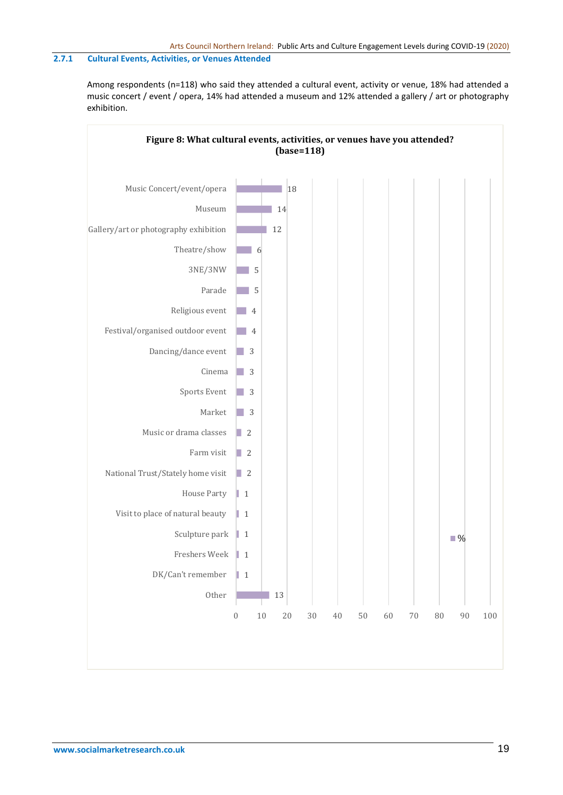# **2.7.1 Cultural Events, Activities, or Venues Attended**

Among respondents (n=118) who said they attended a cultural event, activity or venue, 18% had attended a music concert / event / opera, 14% had attended a museum and 12% attended a gallery / art or photography exhibition.

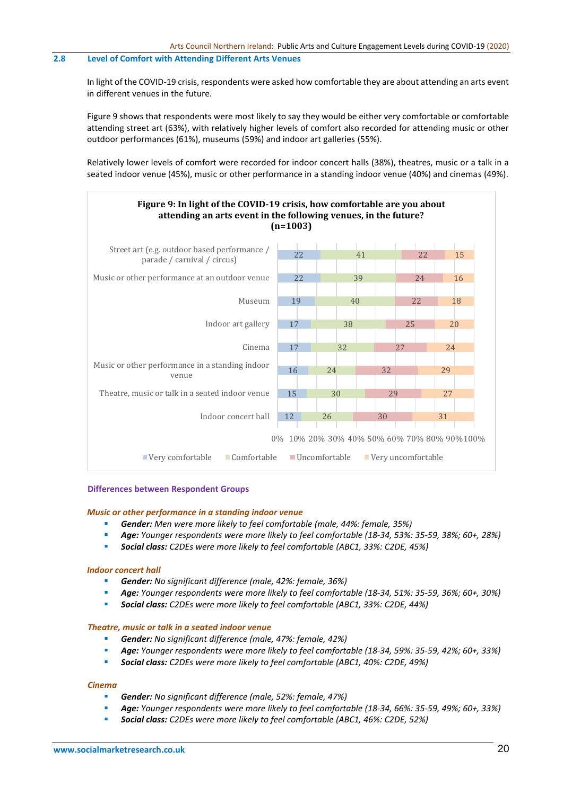# **2.8 Level of Comfort with Attending Different Arts Venues**

In light of the COVID-19 crisis, respondents were asked how comfortable they are about attending an arts event in different venues in the future.

Figure 9 shows that respondents were most likely to say they would be either very comfortable or comfortable attending street art (63%), with relatively higher levels of comfort also recorded for attending music or other outdoor performances (61%), museums (59%) and indoor art galleries (55%).

Relatively lower levels of comfort were recorded for indoor concert halls (38%), theatres, music or a talk in a seated indoor venue (45%), music or other performance in a standing indoor venue (40%) and cinemas (49%).



#### **Differences between Respondent Groups**

#### *Music or other performance in a standing indoor venue*

- *Gender: Men were more likely to feel comfortable (male, 44%: female, 35%)*
- *Age: Younger respondents were more likely to feel comfortable (18-34, 53%: 35-59, 38%; 60+, 28%)*
- *Social class: C2DEs were more likely to feel comfortable (ABC1, 33%: C2DE, 45%)*

#### *Indoor concert hall*

- *Gender: No significant difference (male, 42%: female, 36%)*
- *Age: Younger respondents were more likely to feel comfortable (18-34, 51%: 35-59, 36%; 60+, 30%)*
- *Social class: C2DEs were more likely to feel comfortable (ABC1, 33%: C2DE, 44%)*

#### *Theatre, music or talk in a seated indoor venue*

- *Gender: No significant difference (male, 47%: female, 42%)*
- *Age: Younger respondents were more likely to feel comfortable (18-34, 59%: 35-59, 42%; 60+, 33%)*
- *Social class: C2DEs were more likely to feel comfortable (ABC1, 40%: C2DE, 49%)*

#### *Cinema*

- *Gender: No significant difference (male, 52%: female, 47%)*
- *Age: Younger respondents were more likely to feel comfortable (18-34, 66%: 35-59, 49%; 60+, 33%)*
- *Social class: C2DEs were more likely to feel comfortable (ABC1, 46%: C2DE, 52%)*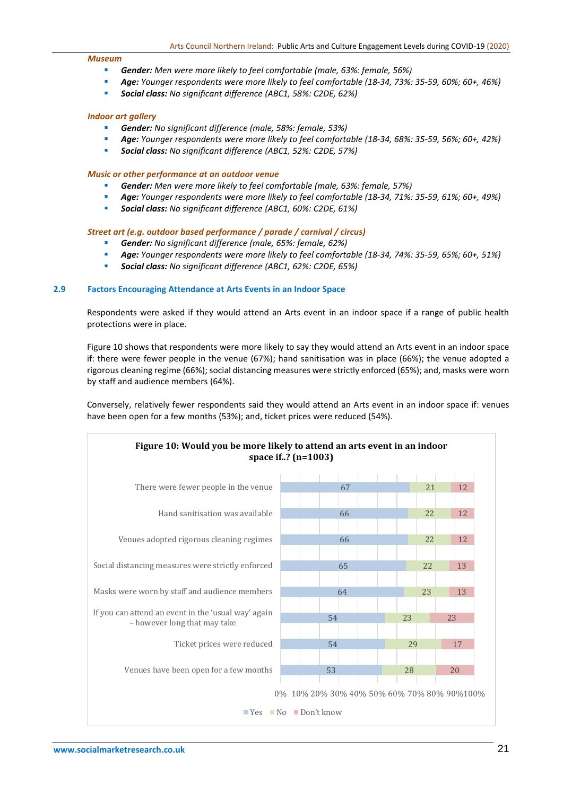#### *Museum*

- *Gender: Men were more likely to feel comfortable (male, 63%: female, 56%)*
- *Age: Younger respondents were more likely to feel comfortable (18-34, 73%: 35-59, 60%; 60+, 46%)*
- *Social class: No significant difference (ABC1, 58%: C2DE, 62%)*

#### *Indoor art gallery*

- *Gender: No significant difference (male, 58%: female, 53%)*
- *Age: Younger respondents were more likely to feel comfortable (18-34, 68%: 35-59, 56%; 60+, 42%)*
- *Social class: No significant difference (ABC1, 52%: C2DE, 57%)*

#### *Music or other performance at an outdoor venue*

- *Gender: Men were more likely to feel comfortable (male, 63%: female, 57%)*
- *Age: Younger respondents were more likely to feel comfortable (18-34, 71%: 35-59, 61%; 60+, 49%)*
- *Social class: No significant difference (ABC1, 60%: C2DE, 61%)*

#### *Street art (e.g. outdoor based performance / parade / carnival / circus)*

- *Gender: No significant difference (male, 65%: female, 62%)*
- *Age: Younger respondents were more likely to feel comfortable (18-34, 74%: 35-59, 65%; 60+, 51%)*
- *Social class: No significant difference (ABC1, 62%: C2DE, 65%)*

#### **2.9 Factors Encouraging Attendance at Arts Events in an Indoor Space**

Respondents were asked if they would attend an Arts event in an indoor space if a range of public health protections were in place.

Figure 10 shows that respondents were more likely to say they would attend an Arts event in an indoor space if: there were fewer people in the venue (67%); hand sanitisation was in place (66%); the venue adopted a rigorous cleaning regime (66%); social distancing measures were strictly enforced (65%); and, masks were worn by staff and audience members (64%).

Conversely, relatively fewer respondents said they would attend an Arts event in an indoor space if: venues have been open for a few months (53%); and, ticket prices were reduced (54%).

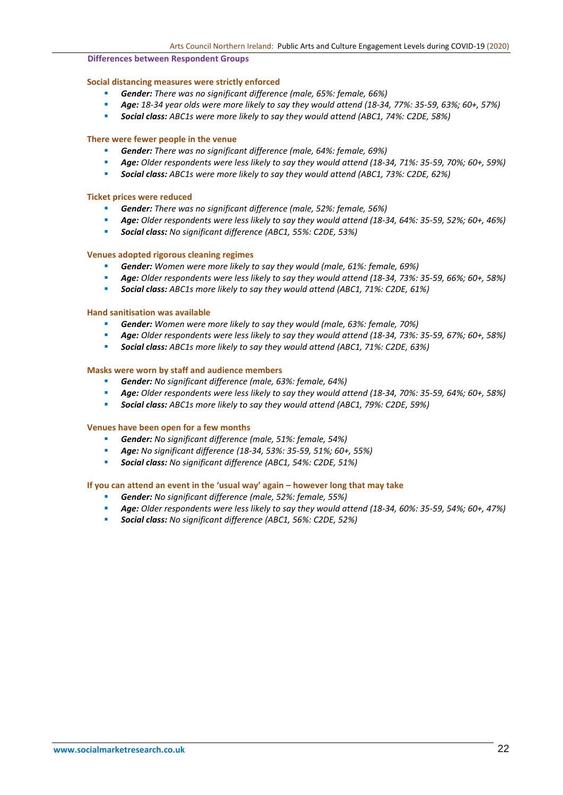#### **Differences between Respondent Groups**

### **Social distancing measures were strictly enforced**

- *Gender: There was no significant difference (male, 65%: female, 66%)*
- *Age: 18-34 year olds were more likely to say they would attend (18-34, 77%: 35-59, 63%; 60+, 57%)*
- *Social class: ABC1s were more likely to say they would attend (ABC1, 74%: C2DE, 58%)*

#### **There were fewer people in the venue**

- *Gender: There was no significant difference (male, 64%: female, 69%)*
- *Age: Older respondents were less likely to say they would attend (18-34, 71%: 35-59, 70%; 60+, 59%)*
- *Social class: ABC1s were more likely to say they would attend (ABC1, 73%: C2DE, 62%)*

#### **Ticket prices were reduced**

- **Gender:** There was no significant difference (male, 52%: female, 56%)
- *Age: Older respondents were less likely to say they would attend (18-34, 64%: 35-59, 52%; 60+, 46%)*
- *Social class: No significant difference (ABC1, 55%: C2DE, 53%)*

#### **Venues adopted rigorous cleaning regimes**

- **Gender:** *Women were more likely to say they would (male, 61%: female, 69%)*
- *Age: Older respondents were less likely to say they would attend (18-34, 73%: 35-59, 66%; 60+, 58%)*
- *Social class: ABC1s more likely to say they would attend (ABC1, 71%: C2DE, 61%)*

## **Hand sanitisation was available**

- *Gender: Women were more likely to say they would (male, 63%: female, 70%)*
- *Age: Older respondents were less likely to say they would attend (18-34, 73%: 35-59, 67%; 60+, 58%)*
- *Social class: ABC1s more likely to say they would attend (ABC1, 71%: C2DE, 63%)*

## **Masks were worn by staff and audience members**

- *Gender: No significant difference (male, 63%: female, 64%)*
- *Age: Older respondents were less likely to say they would attend (18-34, 70%: 35-59, 64%; 60+, 58%)*
- *Social class: ABC1s more likely to say they would attend (ABC1, 79%: C2DE, 59%)*

#### **Venues have been open for a few months**

- *Gender: No significant difference (male, 51%: female, 54%)*
- *Age: No significant difference (18-34, 53%: 35-59, 51%; 60+, 55%)*
- *Social class: No significant difference (ABC1, 54%: C2DE, 51%)*

#### **If you can attend an event in the 'usual way' again – however long that may take**

- *Gender: No significant difference (male, 52%: female, 55%)*
- *Age: Older respondents were less likely to say they would attend (18-34, 60%: 35-59, 54%; 60+, 47%)*
- *Social class: No significant difference (ABC1, 56%: C2DE, 52%)*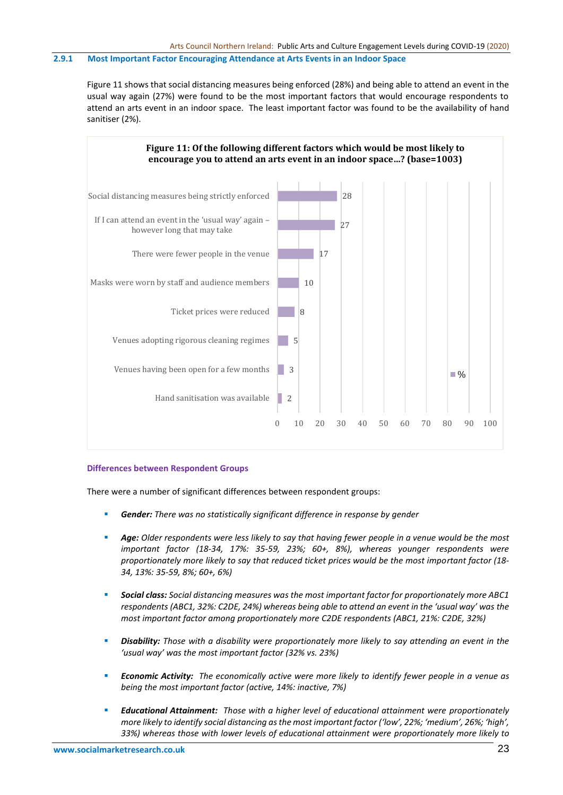# **2.9.1 Most Important Factor Encouraging Attendance at Arts Events in an Indoor Space**

Figure 11 shows that social distancing measures being enforced (28%) and being able to attend an event in the usual way again (27%) were found to be the most important factors that would encourage respondents to attend an arts event in an indoor space. The least important factor was found to be the availability of hand sanitiser (2%).



#### **Differences between Respondent Groups**

There were a number of significant differences between respondent groups:

- **Gender:** There was no statistically significant difference in response by gender
- *Age: Older respondents were less likely to say that having fewer people in a venue would be the most important factor (18-34, 17%: 35-59, 23%; 60+, 8%), whereas younger respondents were proportionately more likely to say that reduced ticket prices would be the most important factor (18- 34, 13%: 35-59, 8%; 60+, 6%)*
- *Social class: Social distancing measures was the most important factor for proportionately more ABC1 respondents (ABC1, 32%: C2DE, 24%) whereas being able to attend an event in the 'usual way' was the most important factor among proportionately more C2DE respondents (ABC1, 21%: C2DE, 32%)*
- *Disability: Those with a disability were proportionately more likely to say attending an event in the 'usual way' was the most important factor (32% vs. 23%)*
- *Economic Activity: The economically active were more likely to identify fewer people in a venue as being the most important factor (active, 14%: inactive, 7%)*
- *Educational Attainment: Those with a higher level of educational attainment were proportionately more likely to identify social distancing as the most important factor ('low', 22%; 'medium', 26%; 'high', 33%) whereas those with lower levels of educational attainment were proportionately more likely to*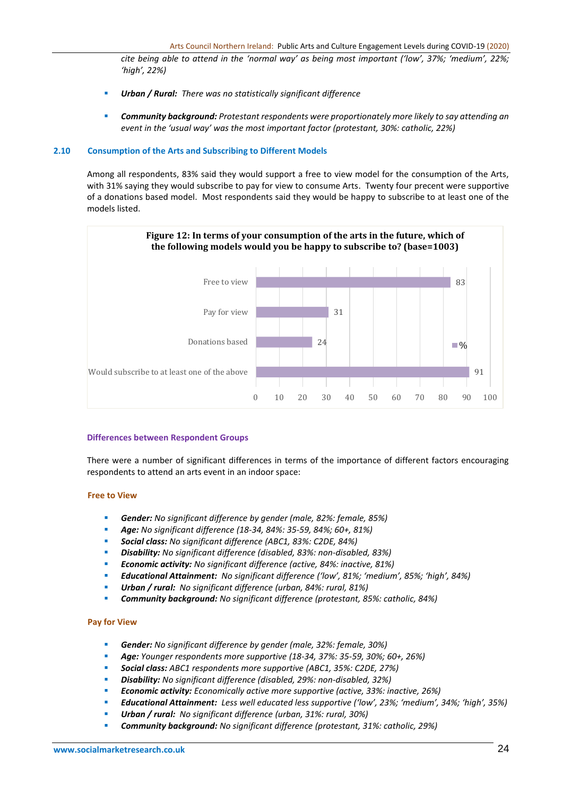*cite being able to attend in the 'normal way' as being most important ('low', 37%; 'medium', 22%; 'high', 22%)*

- *Urban / Rural: There was no statistically significant difference*
- *Community background: Protestant respondents were proportionately more likely to say attending an event in the 'usual way' was the most important factor (protestant, 30%: catholic, 22%)*

#### **2.10 Consumption of the Arts and Subscribing to Different Models**

Among all respondents, 83% said they would support a free to view model for the consumption of the Arts, with 31% saying they would subscribe to pay for view to consume Arts. Twenty four precent were supportive of a donations based model. Most respondents said they would be happy to subscribe to at least one of the models listed.



### **Differences between Respondent Groups**

There were a number of significant differences in terms of the importance of different factors encouraging respondents to attend an arts event in an indoor space:

### **Free to View**

- *Gender: No significant difference by gender (male, 82%: female, 85%)*
- *Age: No significant difference (18-34, 84%: 35-59, 84%; 60+, 81%)*
- *Social class: No significant difference (ABC1, 83%: C2DE, 84%)*
- *Disability: No significant difference (disabled, 83%: non-disabled, 83%)*
- *Economic activity: No significant difference (active, 84%: inactive, 81%)*
- *Educational Attainment: No significant difference ('low', 81%; 'medium', 85%; 'high', 84%)*
- *Urban / rural: No significant difference (urban, 84%: rural, 81%)*
- *Community background: No significant difference (protestant, 85%: catholic, 84%)*

### **Pay for View**

- *Gender: No significant difference by gender (male, 32%: female, 30%)*
- *Age: Younger respondents more supportive (18-34, 37%: 35-59, 30%; 60+, 26%)*
- *Social class: ABC1 respondents more supportive (ABC1, 35%: C2DE, 27%)*
- *Disability: No significant difference (disabled, 29%: non-disabled, 32%)*
- *Economic activity: Economically active more supportive (active, 33%: inactive, 26%)*
- *Educational Attainment: Less well educated less supportive ('low', 23%; 'medium', 34%; 'high', 35%)*
- *Urban / rural: No significant difference (urban, 31%: rural, 30%)*
- *Community background: No significant difference (protestant, 31%: catholic, 29%)*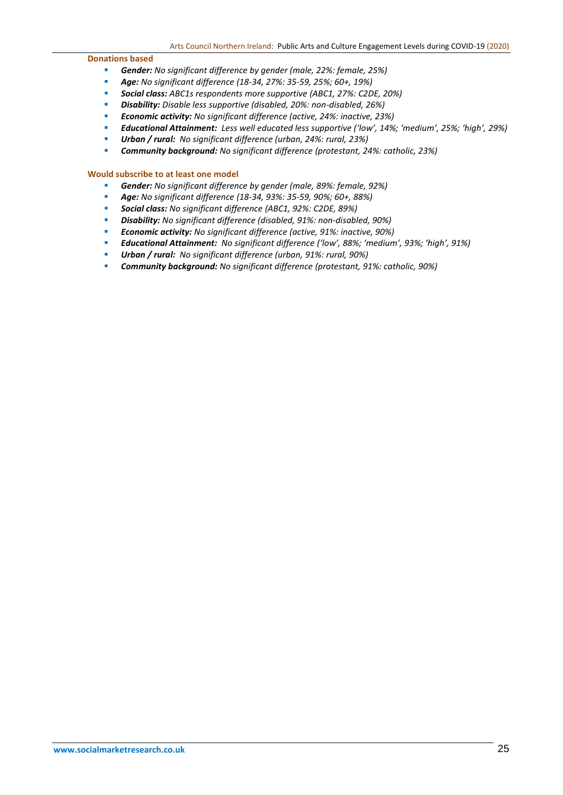#### **Donations based**

- *Gender: No significant difference by gender (male, 22%: female, 25%)*
- *Age: No significant difference (18-34, 27%: 35-59, 25%; 60+, 19%)*
- *Social class: ABC1s respondents more supportive (ABC1, 27%: C2DE, 20%)*
- *Disability: Disable less supportive (disabled, 20%: non-disabled, 26%)*
- *Economic activity: No significant difference (active, 24%: inactive, 23%)*
- *Educational Attainment: Less well educated less supportive ('low', 14%; 'medium', 25%; 'high', 29%)*
- *Urban / rural: No significant difference (urban, 24%: rural, 23%)*
- *Community background: No significant difference (protestant, 24%: catholic, 23%)*

### **Would subscribe to at least one model**

- *Gender: No significant difference by gender (male, 89%: female, 92%)*
- *Age: No significant difference (18-34, 93%: 35-59, 90%; 60+, 88%)*
- *Social class: No significant difference (ABC1, 92%: C2DE, 89%)*
- *Disability: No significant difference (disabled, 91%: non-disabled, 90%)*
- *Economic activity: No significant difference (active, 91%: inactive, 90%)*
- *Educational Attainment: No significant difference ('low', 88%; 'medium', 93%; 'high', 91%)*
- *Urban / rural: No significant difference (urban, 91%: rural, 90%)*
- *Community background: No significant difference (protestant, 91%: catholic, 90%)*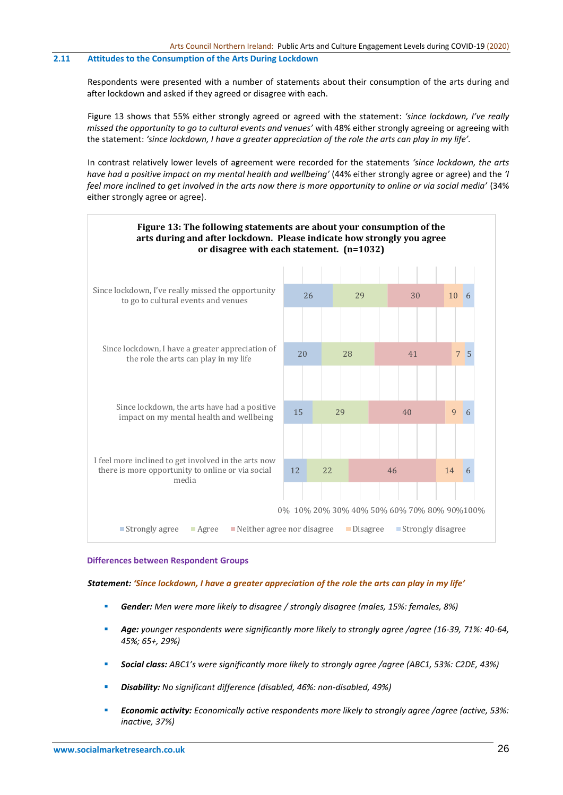## **2.11 Attitudes to the Consumption of the Arts During Lockdown**

Respondents were presented with a number of statements about their consumption of the arts during and after lockdown and asked if they agreed or disagree with each.

Figure 13 shows that 55% either strongly agreed or agreed with the statement: *'since lockdown, I've really missed the opportunity to go to cultural events and venues'* with 48% either strongly agreeing or agreeing with the statement: *'since lockdown, I have a greater appreciation of the role the arts can play in my life'.* 

In contrast relatively lower levels of agreement were recorded for the statements *'since lockdown, the arts have had a positive impact on my mental health and wellbeing'* (44% either strongly agree or agree) and the *'I feel more inclined to get involved in the arts now there is more opportunity to online or via social media'* (34% either strongly agree or agree).



#### **Differences between Respondent Groups**

*Statement: 'Since lockdown, I have a greater appreciation of the role the arts can play in my life'*

- *Gender: Men were more likely to disagree / strongly disagree (males, 15%: females, 8%)*
- *Age: younger respondents were significantly more likely to strongly agree /agree (16-39, 71%: 40-64, 45%; 65+, 29%)*
- *Social class: ABC1's were significantly more likely to strongly agree /agree (ABC1, 53%: C2DE, 43%)*
- *Disability: No significant difference (disabled, 46%: non-disabled, 49%)*
- *Economic activity: Economically active respondents more likely to strongly agree /agree (active, 53%: inactive, 37%)*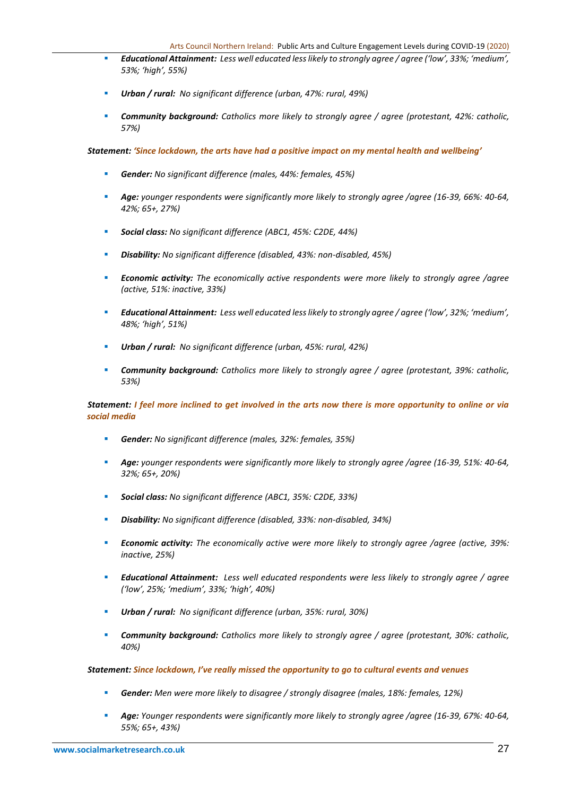- *Educational Attainment: Less well educated less likely to strongly agree / agree ('low', 33%; 'medium', 53%; 'high', 55%)*
- *Urban / rural: No significant difference (urban, 47%: rural, 49%)*
- *Community background: Catholics more likely to strongly agree / agree (protestant, 42%: catholic, 57%)*

*Statement: 'Since lockdown, the arts have had a positive impact on my mental health and wellbeing'*

- *Gender: No significant difference (males, 44%: females, 45%)*
- *Age: younger respondents were significantly more likely to strongly agree /agree (16-39, 66%: 40-64, 42%; 65+, 27%)*
- *Social class: No significant difference (ABC1, 45%: C2DE, 44%)*
- *Disability: No significant difference (disabled, 43%: non-disabled, 45%)*
- *Economic activity: The economically active respondents were more likely to strongly agree /agree (active, 51%: inactive, 33%)*
- *Educational Attainment: Less well educated less likely to strongly agree / agree ('low', 32%; 'medium', 48%; 'high', 51%)*
- *Urban / rural: No significant difference (urban, 45%: rural, 42%)*
- *Community background: Catholics more likely to strongly agree / agree (protestant, 39%: catholic, 53%)*

# *Statement: I feel more inclined to get involved in the arts now there is more opportunity to online or via social media*

- *Gender: No significant difference (males, 32%: females, 35%)*
- *Age: younger respondents were significantly more likely to strongly agree /agree (16-39, 51%: 40-64, 32%; 65+, 20%)*
- *Social class: No significant difference (ABC1, 35%: C2DE, 33%)*
- *Disability: No significant difference (disabled, 33%: non-disabled, 34%)*
- *Economic activity: The economically active were more likely to strongly agree /agree (active, 39%: inactive, 25%)*
- *Educational Attainment: Less well educated respondents were less likely to strongly agree / agree ('low', 25%; 'medium', 33%; 'high', 40%)*
- *Urban / rural: No significant difference (urban, 35%: rural, 30%)*
- *Community background: Catholics more likely to strongly agree / agree (protestant, 30%: catholic, 40%)*

### *Statement: Since lockdown, I've really missed the opportunity to go to cultural events and venues*

- *Gender: Men were more likely to disagree / strongly disagree (males, 18%: females, 12%)*
- *Age: Younger respondents were significantly more likely to strongly agree /agree (16-39, 67%: 40-64, 55%; 65+, 43%)*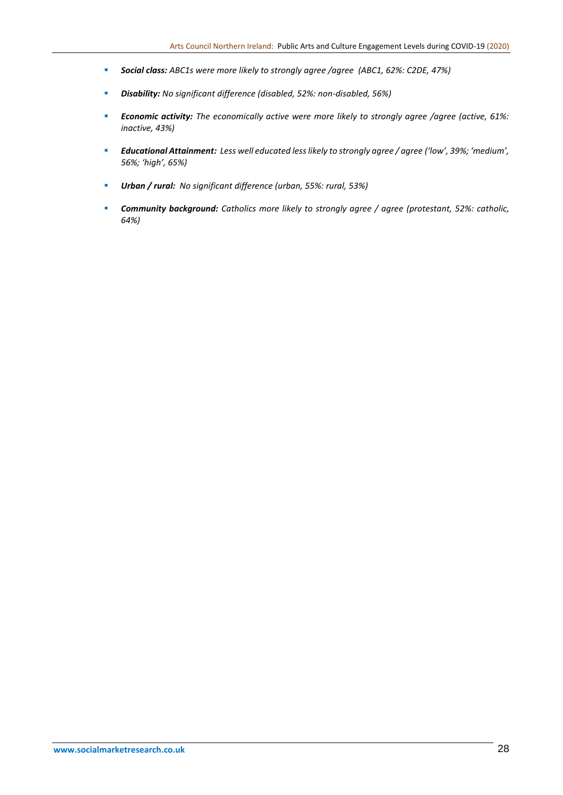- *Social class: ABC1s were more likely to strongly agree /agree (ABC1, 62%: C2DE, 47%)*
- *Disability: No significant difference (disabled, 52%: non-disabled, 56%)*
- *Economic activity: The economically active were more likely to strongly agree /agree (active, 61%: inactive, 43%)*
- *Educational Attainment: Less well educated less likely to strongly agree / agree ('low', 39%; 'medium', 56%; 'high', 65%)*
- *Urban / rural: No significant difference (urban, 55%: rural, 53%)*
- *Community background: Catholics more likely to strongly agree / agree (protestant, 52%: catholic, 64%)*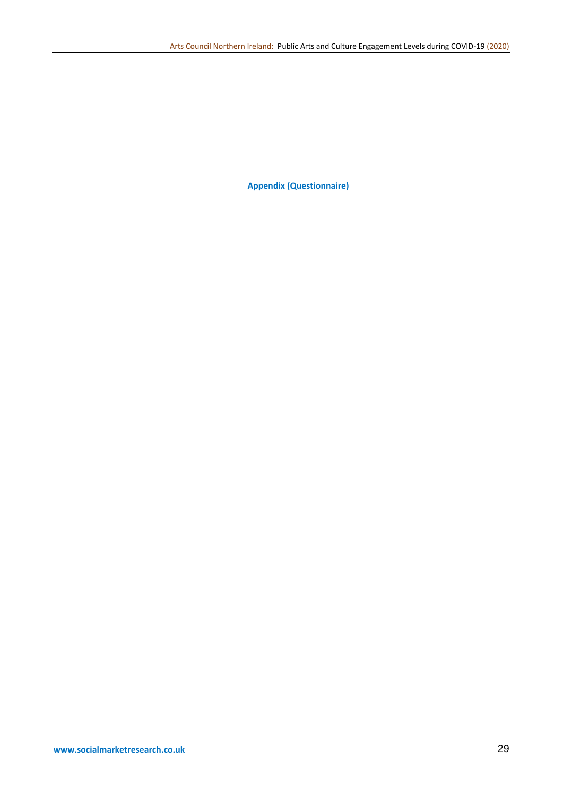**Appendix (Questionnaire)**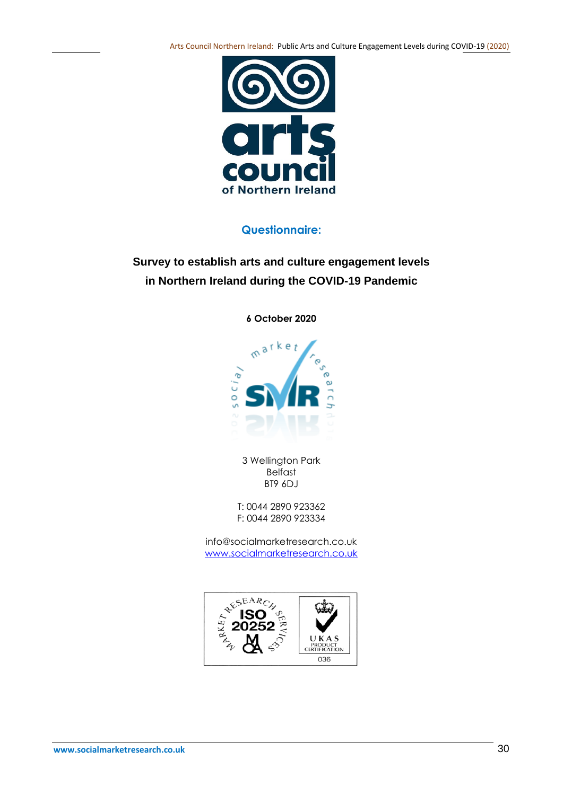Arts Council Northern Ireland: Public Arts and Culture Engagement Levels during COVID-19 (2020)



# **Questionnaire:**

# **Survey to establish arts and culture engagement levels in Northern Ireland during the COVID-19 Pandemic**

**6 October 2020**



3 Wellington Park Belfast BT9 6DJ

T: 0044 2890 923362 F: 0044 2890 923334

info@socialmarketresearch.co.uk [www.socialmarketresearch.co.uk](http://www.socialmarketresearch.co.uk/)

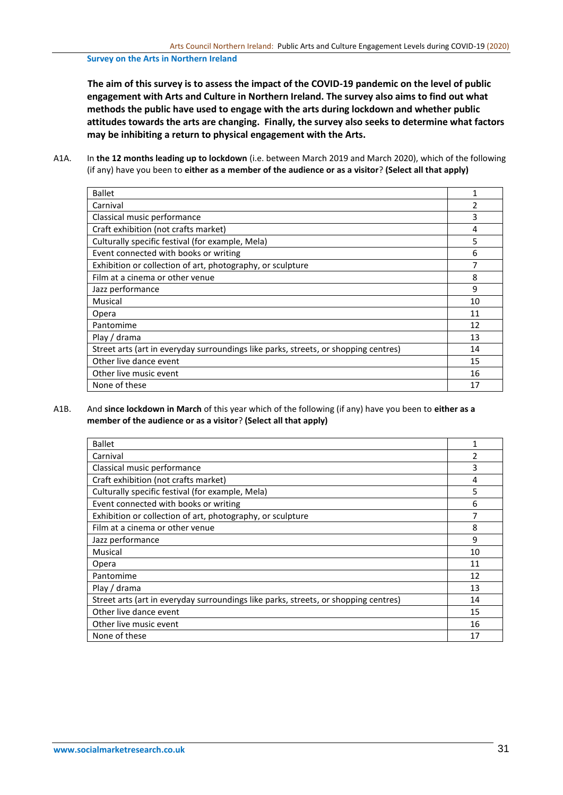#### **Survey on the Arts in Northern Ireland**

**The aim of this survey is to assess the impact of the COVID-19 pandemic on the level of public engagement with Arts and Culture in Northern Ireland. The survey also aims to find out what methods the public have used to engage with the arts during lockdown and whether public attitudes towards the arts are changing. Finally, the survey also seeks to determine what factors may be inhibiting a return to physical engagement with the Arts.**

A1A. In **the 12 months leading up to lockdown** (i.e. between March 2019 and March 2020), which of the following (if any) have you been to **either as a member of the audience or as a visitor**? **(Select all that apply)**

| <b>Ballet</b>                                                                       | 1              |
|-------------------------------------------------------------------------------------|----------------|
| Carnival                                                                            | $\mathfrak{p}$ |
| Classical music performance                                                         | 3              |
| Craft exhibition (not crafts market)                                                | 4              |
| Culturally specific festival (for example, Mela)                                    | 5              |
| Event connected with books or writing                                               | 6              |
| Exhibition or collection of art, photography, or sculpture                          | 7              |
| Film at a cinema or other venue                                                     | 8              |
| Jazz performance                                                                    | 9              |
| Musical                                                                             | 10             |
| Opera                                                                               | 11             |
| Pantomime                                                                           | 12             |
| Play / drama                                                                        | 13             |
| Street arts (art in everyday surroundings like parks, streets, or shopping centres) | 14             |
| Other live dance event                                                              | 15             |
| Other live music event                                                              | 16             |
| None of these                                                                       | 17             |

A1B. And **since lockdown in March** of this year which of the following (if any) have you been to **either as a member of the audience or as a visitor**? **(Select all that apply)**

| <b>Ballet</b>                                                                       |    |
|-------------------------------------------------------------------------------------|----|
| Carnival                                                                            | 2  |
| Classical music performance                                                         | 3  |
| Craft exhibition (not crafts market)                                                | 4  |
| Culturally specific festival (for example, Mela)                                    | 5  |
| Event connected with books or writing                                               | 6  |
| Exhibition or collection of art, photography, or sculpture                          | 7  |
| Film at a cinema or other venue                                                     | 8  |
| Jazz performance                                                                    | 9  |
| Musical                                                                             | 10 |
| Opera                                                                               | 11 |
| Pantomime                                                                           | 12 |
| Play / drama                                                                        | 13 |
| Street arts (art in everyday surroundings like parks, streets, or shopping centres) | 14 |
| Other live dance event                                                              | 15 |
| Other live music event                                                              | 16 |
| None of these                                                                       | 17 |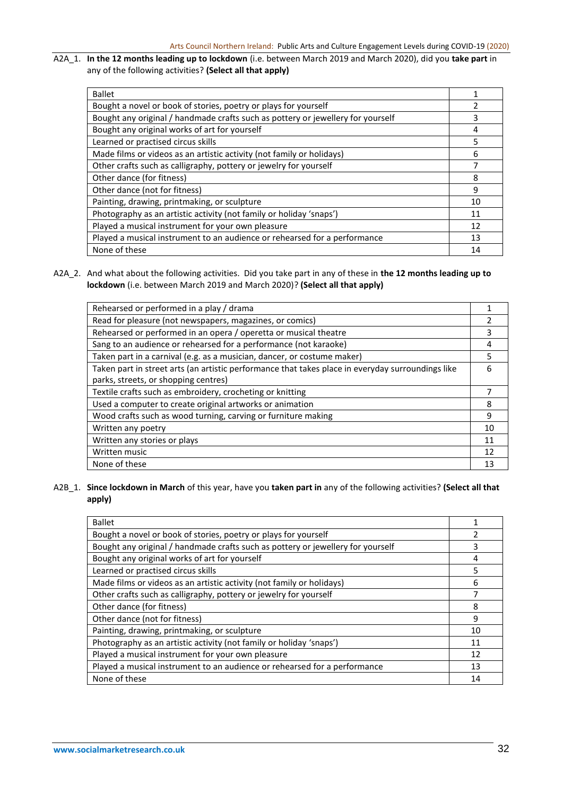# A2A\_1. **In the 12 months leading up to lockdown** (i.e. between March 2019 and March 2020), did you **take part** in any of the following activities? **(Select all that apply)**

| <b>Ballet</b>                                                                   |    |
|---------------------------------------------------------------------------------|----|
| Bought a novel or book of stories, poetry or plays for yourself                 |    |
| Bought any original / handmade crafts such as pottery or jewellery for yourself | 3  |
| Bought any original works of art for yourself                                   | 4  |
| Learned or practised circus skills                                              | 5  |
| Made films or videos as an artistic activity (not family or holidays)           | 6  |
| Other crafts such as calligraphy, pottery or jewelry for yourself               | 7  |
| Other dance (for fitness)                                                       | 8  |
| Other dance (not for fitness)                                                   | 9  |
| Painting, drawing, printmaking, or sculpture                                    | 10 |
| Photography as an artistic activity (not family or holiday 'snaps')             | 11 |
| Played a musical instrument for your own pleasure                               | 12 |
| Played a musical instrument to an audience or rehearsed for a performance       | 13 |
| None of these                                                                   | 14 |

A2A\_2. And what about the following activities. Did you take part in any of these in **the 12 months leading up to lockdown** (i.e. between March 2019 and March 2020)? **(Select all that apply)**

| Rehearsed or performed in a play / drama                                                          |    |
|---------------------------------------------------------------------------------------------------|----|
| Read for pleasure (not newspapers, magazines, or comics)                                          | 2  |
| Rehearsed or performed in an opera / operetta or musical theatre                                  | 3  |
| Sang to an audience or rehearsed for a performance (not karaoke)                                  | 4  |
| Taken part in a carnival (e.g. as a musician, dancer, or costume maker)                           | 5  |
| Taken part in street arts (an artistic performance that takes place in everyday surroundings like | 6  |
| parks, streets, or shopping centres)                                                              |    |
| Textile crafts such as embroidery, crocheting or knitting                                         | 7  |
| Used a computer to create original artworks or animation                                          | 8  |
| Wood crafts such as wood turning, carving or furniture making                                     | 9  |
| Written any poetry                                                                                | 10 |
| Written any stories or plays                                                                      | 11 |
| Written music                                                                                     | 12 |
| None of these                                                                                     | 13 |
|                                                                                                   |    |

# A2B\_1. **Since lockdown in March** of this year, have you **taken part in** any of the following activities? **(Select all that apply)**

| <b>Ballet</b>                                                                   |    |
|---------------------------------------------------------------------------------|----|
| Bought a novel or book of stories, poetry or plays for yourself                 |    |
| Bought any original / handmade crafts such as pottery or jewellery for yourself | 3  |
| Bought any original works of art for yourself                                   | 4  |
| Learned or practised circus skills                                              | 5  |
| Made films or videos as an artistic activity (not family or holidays)           | 6  |
| Other crafts such as calligraphy, pottery or jewelry for yourself               | 7  |
| Other dance (for fitness)                                                       | 8  |
| Other dance (not for fitness)                                                   | 9  |
| Painting, drawing, printmaking, or sculpture                                    | 10 |
| Photography as an artistic activity (not family or holiday 'snaps')             | 11 |
| Played a musical instrument for your own pleasure                               | 12 |
| Played a musical instrument to an audience or rehearsed for a performance       | 13 |
| None of these                                                                   | 14 |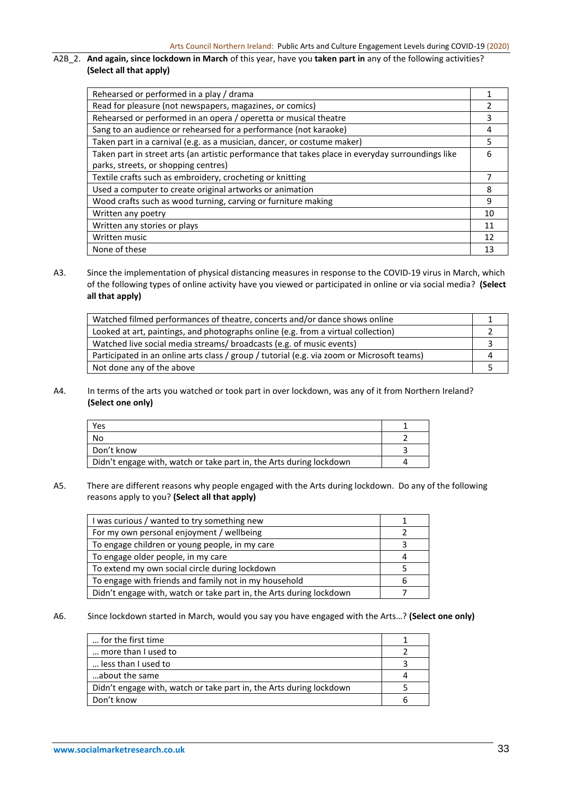# A2B\_2. **And again, since lockdown in March** of this year, have you **taken part in** any of the following activities? **(Select all that apply)**

| Rehearsed or performed in a play / drama                                                          |    |
|---------------------------------------------------------------------------------------------------|----|
| Read for pleasure (not newspapers, magazines, or comics)                                          |    |
| Rehearsed or performed in an opera / operetta or musical theatre                                  | 3  |
| Sang to an audience or rehearsed for a performance (not karaoke)                                  | 4  |
| Taken part in a carnival (e.g. as a musician, dancer, or costume maker)                           | 5  |
| Taken part in street arts (an artistic performance that takes place in everyday surroundings like | 6  |
| parks, streets, or shopping centres)                                                              |    |
| Textile crafts such as embroidery, crocheting or knitting                                         |    |
| Used a computer to create original artworks or animation                                          | 8  |
| Wood crafts such as wood turning, carving or furniture making                                     | 9  |
| Written any poetry                                                                                | 10 |
| Written any stories or plays                                                                      | 11 |
| Written music                                                                                     | 12 |
| None of these                                                                                     | 13 |

A3. Since the implementation of physical distancing measures in response to the COVID-19 virus in March, which of the following types of online activity have you viewed or participated in online or via social media? **(Select all that apply)**

| Watched filmed performances of theatre, concerts and/or dance shows online                 |  |
|--------------------------------------------------------------------------------------------|--|
| Looked at art, paintings, and photographs online (e.g. from a virtual collection)          |  |
| Watched live social media streams/ broadcasts (e.g. of music events)                       |  |
| Participated in an online arts class / group / tutorial (e.g. via zoom or Microsoft teams) |  |
| Not done any of the above                                                                  |  |

A4. In terms of the arts you watched or took part in over lockdown, was any of it from Northern Ireland? **(Select one only)**

| Yes                                                                 |  |
|---------------------------------------------------------------------|--|
| No                                                                  |  |
| Don't know                                                          |  |
| Didn't engage with, watch or take part in, the Arts during lockdown |  |

A5. There are different reasons why people engaged with the Arts during lockdown. Do any of the following reasons apply to you? **(Select all that apply)**

| I was curious / wanted to try something new                         |  |
|---------------------------------------------------------------------|--|
| For my own personal enjoyment / wellbeing                           |  |
| To engage children or young people, in my care                      |  |
| To engage older people, in my care                                  |  |
| To extend my own social circle during lockdown                      |  |
| To engage with friends and family not in my household               |  |
| Didn't engage with, watch or take part in, the Arts during lockdown |  |

A6. Since lockdown started in March, would you say you have engaged with the Arts…? **(Select one only)**

| for the first time                                                  |  |
|---------------------------------------------------------------------|--|
| more than I used to                                                 |  |
| less than I used to                                                 |  |
| about the same                                                      |  |
| Didn't engage with, watch or take part in, the Arts during lockdown |  |
| Don't know                                                          |  |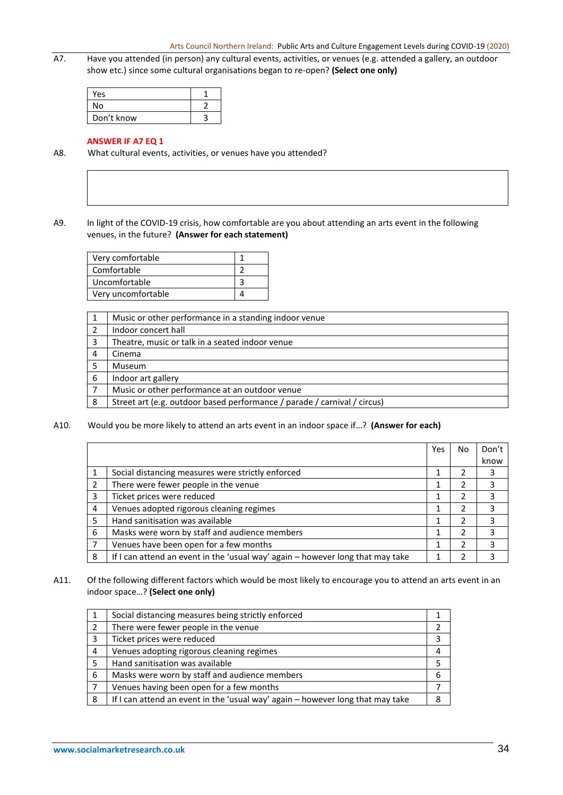A7. Have you attended (in person) any cultural events, activities, or venues (e.g. attended a gallery, an outdoor show etc.) since some cultural organisations began to re-open? **(Select one only)**

| <b>Yes</b> |  |
|------------|--|
| N٥         |  |
| Don't know |  |

# **ANSWER IF A7 EQ 1**

A8. What cultural events, activities, or venues have you attended?

# A9. In light of the COVID-19 crisis, how comfortable are you about attending an arts event in the following venues, in the future? **(Answer for each statement)**

| Very comfortable   |  |
|--------------------|--|
| Comfortable        |  |
| Uncomfortable      |  |
| Very uncomfortable |  |

|                | Music or other performance in a standing indoor venue                    |
|----------------|--------------------------------------------------------------------------|
|                | Indoor concert hall                                                      |
| 3              | Theatre, music or talk in a seated indoor venue                          |
| $\overline{4}$ | Cinema                                                                   |
|                | Museum                                                                   |
| - 6            | Indoor art gallery                                                       |
|                | Music or other performance at an outdoor venue                           |
| -8             | Street art (e.g. outdoor based performance / parade / carnival / circus) |

# A10. Would you be more likely to attend an arts event in an indoor space if…? **(Answer for each)**

|               |                                                                                | Yes | No | Don't |
|---------------|--------------------------------------------------------------------------------|-----|----|-------|
|               |                                                                                |     |    | know  |
|               | Social distancing measures were strictly enforced                              |     |    |       |
| $\mathcal{P}$ | There were fewer people in the venue                                           |     |    |       |
| 3             | Ticket prices were reduced                                                     |     |    |       |
| 4             | Venues adopted rigorous cleaning regimes                                       |     |    |       |
| 5             | Hand sanitisation was available                                                |     |    |       |
| 6             | Masks were worn by staff and audience members                                  |     |    |       |
|               | Venues have been open for a few months                                         |     |    |       |
| 8             | If I can attend an event in the 'usual way' again - however long that may take |     |    |       |

# A11. Of the following different factors which would be most likely to encourage you to attend an arts event in an indoor space…? **(Select one only)**

| 1 | Social distancing measures being strictly enforced                             |   |
|---|--------------------------------------------------------------------------------|---|
| 2 | There were fewer people in the venue                                           |   |
| 3 | Ticket prices were reduced                                                     |   |
| 4 | Venues adopting rigorous cleaning regimes                                      |   |
| 5 | Hand sanitisation was available                                                |   |
| 6 | Masks were worn by staff and audience members                                  | 6 |
|   | Venues having been open for a few months                                       |   |
| 8 | If I can attend an event in the 'usual way' again - however long that may take | я |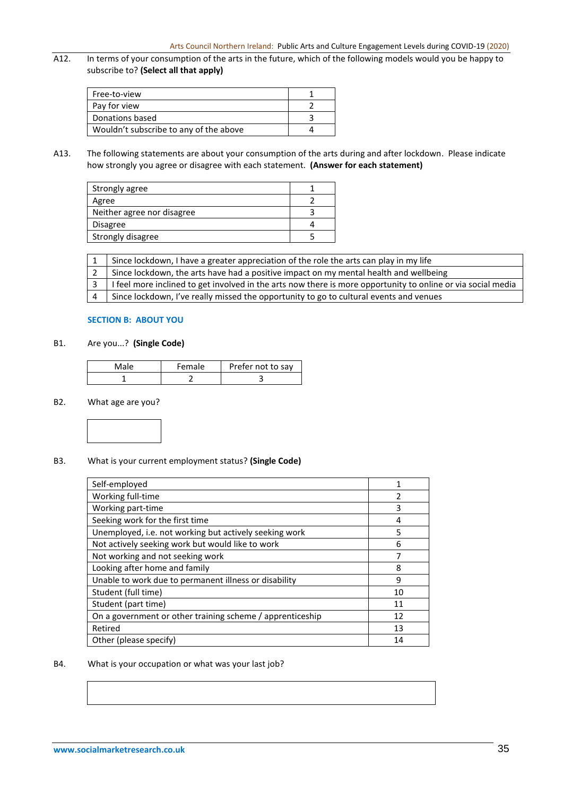A12. In terms of your consumption of the arts in the future, which of the following models would you be happy to subscribe to? **(Select all that apply)**

| Free-to-view                           |  |
|----------------------------------------|--|
| Pay for view                           |  |
| Donations based                        |  |
| Wouldn't subscribe to any of the above |  |

A13. The following statements are about your consumption of the arts during and after lockdown. Please indicate how strongly you agree or disagree with each statement. **(Answer for each statement)**

| Strongly agree             |  |
|----------------------------|--|
| Agree                      |  |
| Neither agree nor disagree |  |
| Disagree                   |  |
| Strongly disagree          |  |

1 Since lockdown, I have a greater appreciation of the role the arts can play in my life

2 Since lockdown, the arts have had a positive impact on my mental health and wellbeing

3 | I feel more inclined to get involved in the arts now there is more opportunity to online or via social media

4 Since lockdown, I've really missed the opportunity to go to cultural events and venues

# **SECTION B: ABOUT YOU**

# B1. Are you...? **(Single Code)**

| Male | Female | Prefer not to say |
|------|--------|-------------------|
|      |        |                   |

#### B2. What age are you?



# B3. What is your current employment status? **(Single Code)**

| Self-employed                                             | 1              |
|-----------------------------------------------------------|----------------|
| Working full-time                                         | $\overline{2}$ |
| Working part-time                                         | 3              |
| Seeking work for the first time                           | 4              |
| Unemployed, i.e. not working but actively seeking work    | 5              |
| Not actively seeking work but would like to work          | 6              |
| Not working and not seeking work                          | 7              |
| Looking after home and family                             | 8              |
| Unable to work due to permanent illness or disability     | 9              |
| Student (full time)                                       | 10             |
| Student (part time)                                       | 11             |
| On a government or other training scheme / apprenticeship | 12             |
| Retired                                                   | 13             |
| Other (please specify)                                    | 14             |

#### B4. What is your occupation or what was your last job?